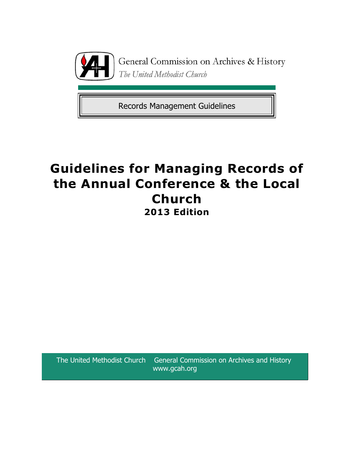

General Commission on Archives & History The United Methodist Church

Records Management Guidelines

# **Guidelines for Managing Records of the Annual Conference & the Local Church 2013 Edition**

The United Methodist Church General Commission on Archives and History www.gcah.org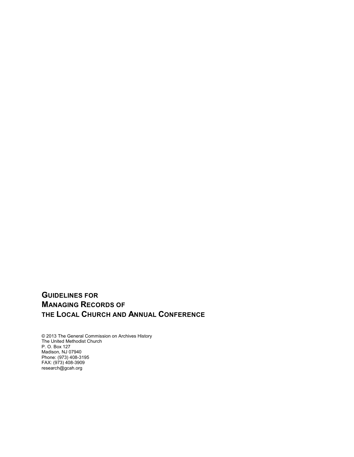# **GUIDELINES FOR MANAGING RECORDS OF THE LOCAL CHURCH AND ANNUAL CONFERENCE**

© 2013 The General Commission on Archives History The United Methodist Church P. O. Box 127 Madison, NJ 07940 Phone: (973) 408-3195 FAX: (973) 408-3909 research@gcah.org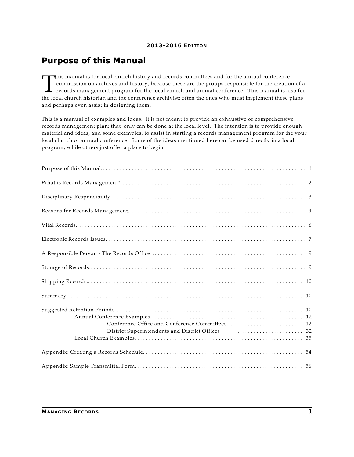# **Purpose of this Manual**

This manual is for local church history and records committees and for the annual conference<br>commission on archives and history, because these are the groups responsible for the creation of a<br>records management program for his manual is for local church history and records committees and for the annual conference commission on archives and history, because these are the groups responsible for the creation of a records management program for the local church and annual conference. This manual is also for and perhaps even assist in designing them.

This is a manual of examples and ideas. It is not meant to provide an exhaustive or comprehensive records management plan; that only can be done at the local level. The intention is to provide enough material and ideas, and some examples, to assist in starting a records management program for the your local church or annual conference. Some of the ideas mentioned here can be used directly in a local program, while others just offer a place to begin.

| District Superintendents and District Offices <b>Fig. 1.2.1.1.1.1.1.1.1.1.1.1.1.1.1.1.1.1.</b> 32 |  |
|---------------------------------------------------------------------------------------------------|--|
|                                                                                                   |  |
|                                                                                                   |  |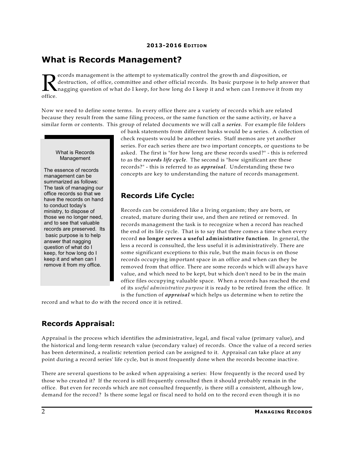# **What is Records Management?**

R<br>office. ecords management is the attempt to systematically control the growth and disposition, or destruction, of office, committee and other official records. Its basic purpose is to help answer that nagging question of what do I keep, for how long do I keep it and when can I remove it from my

Now we need to define some terms. In every office there are a variety of records which are related because they result from the same filing process, or the same function or the same activity, or have a similar form or contents. This group of related documents we will call a *series*. For example file folders

What is Records Management

The essence of records management can be summarized as follows: The task of managing our office records so that we have the records on hand to conduct today's ministry, to dispose of those we no longer need, and to see that valuable records are preserved. Its basic purpose is to help answer that nagging question of what do I keep, for how long do I keep it and when can I remove it from my office.

of bank statements from different banks would be a series. A collection of check requests would be another series. Staff memos are yet another series. For each series there are two important concepts, or questions to be asked. The first is "for how long are these records used?" - this is referred to as the *records life cycle*. The second is "how significant are these records?" - this is referred to as *appraisal*. Understanding these two concepts are key to understanding the nature of records management.

## **Records Life Cycle:**

Records can be considered like a living organism; they are born, or created, mature during their use, and then are retired or removed. In records management the task is to recognize when a record has reached the end of its life cycle. That is to say that there comes a time when every record **no longer serves a useful administrative function**. In general, the less a record is consulted, the less useful it is administratively. There are some significant exceptions to this rule, but the main focus is on those records occupying important space in an office and when can they be removed from that office. There are some records which will always have value, and which need to be kept, but which don't need to be in the main office files occupying valuable space. When a records has reached the end of its *useful administrative purpose* it is ready to be retired from the office. It is the function of *appraisal* which helps us determine when to retire the

record and what to do with the record once it is retired.

# **Records Appraisal:**

Appraisal is the process which identifies the administrative, legal, and fiscal value (primary value), and the historical and long-term research value (secondary value) of records. Once the value of a record series has been determined, a realistic retention period can be assigned to it. Appraisal can take place at any point during a record series' life cycle, but is most frequently done when the records become inactive.

There are several questions to be asked when appraising a series: How frequently is the record used by those who created it? If the record is still frequently consulted then it should probably remain in the office. But even for records which are not consulted frequently, is there still a consistent, although low, demand for the record? Is there some legal or fiscal need to hold on to the record even though it is no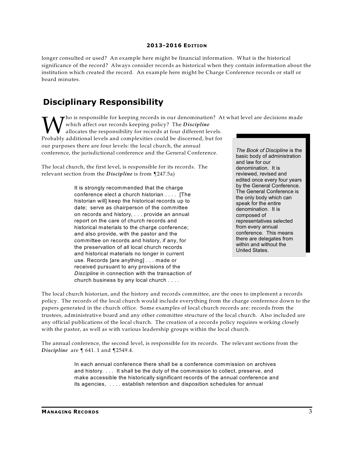longer consulted or used? An example here might be financial information. What is the historical significance of the record? Always consider records as historical when they contain information about the institution which created the record. An example here might be Charge Conference records or staff or board minutes.

# **Disciplinary Responsibility**

 $\tau$  ho is responsible for keeping records in our denomination? At what level are decisions made

Which affect our records keeping policy? The *Discipline*<br>Probably additional levels and complexities could be discerned, but for<br>Probably additional levels and complexities could be discerned, but for which affect our records keeping policy? The *Discipline* allocates the responsibility for records at four different levels. our purposes there are four levels: the local church, the annual conference, the jurisdictional conference and the General Conference.

The local church, the first level, is responsible for its records. The relevant section from the *Discipline* is from ¶247.5a)

> It is strongly recommended that the charge conference elect a church historian . . . . [The historian will] keep the historical records up to date; serve as chairperson of the committee on records and history, . . . provide an annual report on the care of church records and historical materials to the charge conference; and also provide, with the pastor and the committee on records and history, if any, for the preservation of all local church records and historical materials no longer in current use. Records [are anything] . . . made or received pursuant to any provisions of the *Discipline* in connection with the transaction of church business by any local church . . . .

*The Book of Discipline* is the basic body of administration and law for our denomination. It is reviewed, revised and edited once every four years by the General Conference. The General Conference is the only body which can speak for the entire denomination. It is composed of representatives selected from every annual conference. This means there are delegates from within and without the United States.

The local church historian, and the history and records committee, are the ones to implement a records policy. The records of the local church would include everything from the charge conference down to the papers generated in the church office. Some examples of local church records are: records from the trustees, administrative board and any other committee structure of the local church. Also included are any official publications of the local church. The creation of a records policy requires working closely with the pastor, as well as with various leadership groups within the local church.

The annual conference, the second level, is responsible for its records. The relevant sections from the *Discipline* are ¶ 641. 1 and ¶2549.4.

> In each annual conference there shall be a conference commission on archives and history. . . . It shall be the duty of the commission to collect, preserve, and make accessible the historically significant records of the annual conference and its agencies, . . . . establish retention and disposition schedules for annual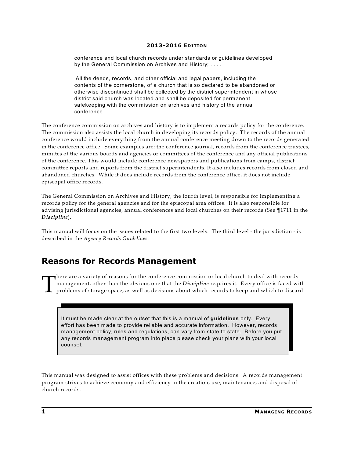conference and local church records under standards or guidelines developed by the General Commission on Archives and History; . . . .

All the deeds, records, and other official and legal papers, including the contents of the cornerstone, of a church that is so declared to be abandoned or otherwise discontinued shall be collected by the district superintendent in whose district said church was located and shall be deposited for permanent safekeeping with the commission on archives and history of the annual conference.

The conference commission on archives and history is to implement a records policy for the conference. The commission also assists the local church in developing its records policy. The records of the annual conference would include everything from the annual conference meeting down to the records generated in the conference office. Some examples are: the conference journal, records from the conference trustees, minutes of the various boards and agencies or committees of the conference and any official publications of the conference. This would include conference newspapers and publications from camps, district committee reports and reports from the district superintendents. It also includes records from closed and abandoned churches. While it does include records from the conference office, it does not include episcopal office records.

The General Commission on Archives and History, the fourth level, is responsible for implementing a records policy for the general agencies and for the episcopal area offices. It is also responsible for advising jurisdictional agencies, annual conferences and local churches on their records (See ¶1711 in the *Discipline*).

This manual will focus on the issues related to the first two levels. The third level - the jurisdiction - is described in the *Agency Records Guidelines*.

# **Reasons for Records Management**

T here are a variety of reasons for the conference commission or local church to deal with records management; other than the obvious one that the *Discipline* requires it. Every office is faced with problems of storage space, as well as decisions about which records to keep and which to discard.

It must be made clear at the outset that this is a manual of **guidelines** only. Every effort has been made to provide reliable and accurate information. However, records management policy, rules and regulations, can vary from state to state. Before you put any records management program into place please check your plans with your local counsel.

This manual was designed to assist offices with these problems and decisions. A records management program strives to achieve economy and efficiency in the creation, use, maintenance, and disposal of church records.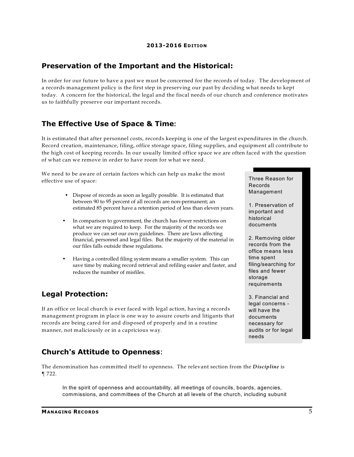### **Preservation of the Important and the Historical:**

In order for our future to have a past we must be concerned for the records of today. The development of a records management policy is the first step in preserving our past by deciding what needs to kept today. A concern for the historical, the legal and the fiscal needs of our church and conference motivates us to faithfully preserve our important records.

### **The Effective Use of Space & Time:**

It is estimated that after personnel costs, records keeping is one of the largest expenditures in the church. Record creation, maintenance, filing, office storage space, filing supplies, and equipment all contribute to the high cost of keeping records. In our usually limited office space we are often faced with the question of what can we remove in order to have room for what we need.

We need to be aware of certain factors which can help us make the most effective use of space:

- Dispose of records as soon as legally possible. It is estimated that between 90 to 95 percent of all records are non-permanent; an estimated 85 percent have a retention period of less than eleven years.
- In comparison to government, the church has fewer restrictions on what we are required to keep. For the majority of the records we produce we can set our own guidelines. There are laws affecting financial, personnel and legal files. But the majority of the material in our files falls outside these regulations.
- Having a controlled filing system means a smaller system. This can save time by making record retrieval and refiling easier and faster, and reduces the number of misfiles.

### **Legal Protection:**

If an office or local church is ever faced with legal action, having a records management program in place is one way to assure courts and litigants that records are being cared for and disposed of properly and in a routine manner, not maliciously or in a capricious way.

## **Church's Attitude to Openness**:

The denomination has committed itself to openness. The relevant section from the *Discipline* is ¶ 722.

In the spirit of openness and accountability, all meetings of councils, boards, agencies, commissions, and committees of the Church at all levels of the church, including subunit

2. Removing older records from the office means less

time spent filing/searching for files and fewer storage requirements

Three Reason for

1. Preservation of important and historical documents

Records Management

3. Financial and legal concerns will have the documents necessary for audits or for legal needs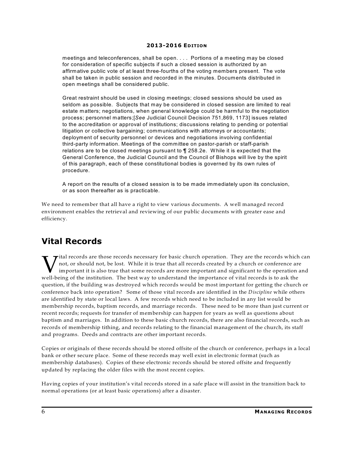meetings and teleconferences, shall be open. . . . Portions of a meeting may be closed for consideration of specific subjects if such a closed session is authorized by an affirmative public vote of at least three-fourths of the voting members present. The vote shall be taken in public session and recorded in the minutes. Documents distributed in open meetings shall be considered public.

Great restraint should be used in closing meetings; closed sessions should be used as seldom as possible. Subjects that may be considered in closed session are limited to real estate matters; negotiations, when general knowledge could be harmful to the negotiation process; personnel matters;[*See* Judicial Council Decision 751,869, 1173] issues related to the accreditation or approval of institutions; discussions relating to pending or potential litigation or collective bargaining; communications with attorneys or accountants; deployment of security personnel or devices and negotiations involving confidential third-party information. Meetings of the committee on pastor-parish or staff-parish relations are to be closed meetings pursuant to ¶ 258.2e. W hile it is expected that the General Conference, the Judicial Council and the Council of Bishops will live by the spirit of this paragraph, each of these constitutional bodies is governed by its own rules of procedure.

A report on the results of a closed session is to be made immediately upon its conclusion, or as soon thereafter as is practicable.

We need to remember that all have a right to view various documents. A well managed record environment enables the retrieval and reviewing of our public documents with greater ease and efficiency.

# **Vital Records**

While it is true that all records created by a church or encords which in the it is true that all records created by a church or conference are important it is also true that some records are more important and significant  $\rightarrow$ ital records are those records necessary for basic church operation. They are the records which can not, or should not, be lost. While it is true that all records created by a church or conference are important it is also true that some records are more important and significant to the operation and question, if the building was destroyed which records would be most important for getting the church or conference back into operation? Some of those vital records are identified in the *Discipline* while others are identified by state or local laws. A few records which need to be included in any list would be membership records, baptism records, and marriage records. These need to be more than just current or recent records; requests for transfer of membership can happen for years as well as questions about baptism and marriages. In addition to these basic church records, there are also financial records, such as records of membership tithing, and records relating to the financial management of the church, its staff and programs. Deeds and contracts are other important records.

Copies or originals of these records should be stored offsite of the church or conference, perhaps in a local bank or other secure place. Some of these records may well exist in electronic format (such as membership databases). Copies of these electronic records should be stored offsite and frequently updated by replacing the older files with the most recent copies.

Having copies of your institution's vital records stored in a safe place will assist in the transition back to normal operations (or at least basic operations) after a disaster.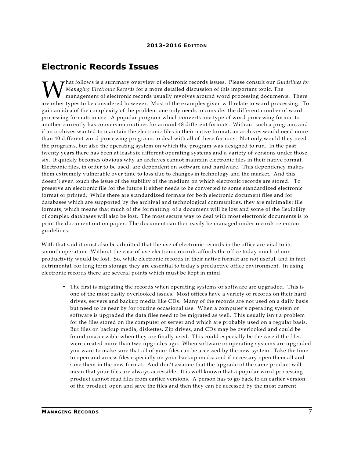## **Electronic Records Issues**

Managing Electronic Records for a more detailed discussion of this important topic. The<br>management of electronic records usually revolves around word processing documents. There<br>are other types to be considered however. Mo hat follows is a summary overview of electronic records issues. Please consult our *Guidelines for Managing Electronic Records* for a more detailed discussion of this important topic. The management of electronic records usually revolves around word processing documents. There gain an idea of the complexity of the problem one only needs to consider the different number of word processing formats in use. A popular program which converts one type of word processing format to another currently has conversion routines for around 48 different formats. Without such a program, and if an archives wanted to maintain the electronic files in their native format, an archives would need more than 40 different word processing programs to deal with all of these formats. Not only would they need the programs, but also the operating system on which the program was designed to run. In the past twenty years there has been at least six different operating systems and a variety of versions under those six. It quickly becomes obvious why an archives cannot maintain electronic files in their native format. Electronic files, in order to be used, are dependent on software and hardware. This dependency makes them extremely vulnerable over time to loss due to changes in technology and the market. And this doesn't even touch the issue of the stability of the medium on which electronic records are stored. To preserve an electronic file for the future it either needs to be converted to some standardized electronic format or printed. While there are standardized formats for both electronic document files and for databases which are supported by the archival and technological communities, they are minimalist file formats, which means that much of the formatting of a document will be lost and some of the flexibility of complex databases will also be lost. The most secure way to deal with most electronic documents is to print the document out on paper. The document can then easily be managed under records retention guidelines.

With that said it must also be admitted that the use of electronic records in the office are vital to its smooth operation. Without the ease of use electronic records affords the office today much of our productivity would be lost. So, while electronic records in their native format are not useful, and in fact detrimental, for long term storage they are essential to today's productive office environment. In using electronic records there are several points which must be kept in mind.

• The first is migrating the records when operating systems or software are upgraded. This is one of the most easily overlooked issues. Most offices have a variety of records on their hard drives, servers and backup media like CDs. Many of the records are not used on a daily basis but need to be near by for routine occasional use. When a computer's operating system or software is upgraded the data files need to be migrated as well. This usually isn't a problem for the files stored on the computer or server and which are probably used on a regular basis. But files on backup media, diskettes, Zip drives, and CDs may be overlooked and could be found unaccessible when they are finally used. This could especially be the case if the files were created more than two upgrades ago. When software or operating systems are upgraded you want to make sure that all of your files can be accessed by the new system. Take the time to open and access files especially on your backup media and if necessary open them all and save them in the new format. And don't assume that the upgrade of the same product will mean that your files are always accessible. It is well known that a popular word processing product cannot read files from earlier versions. A person has to go back to an earlier version of the product, open and save the files and then they can be accessed by the most current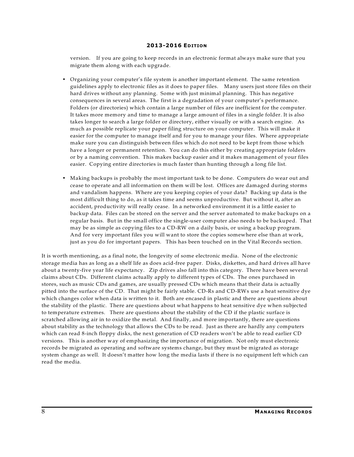version. If you are going to keep records in an electronic format always make sure that you migrate them along with each upgrade.

- Organizing your computer's file system is another important element. The same retention guidelines apply to electronic files as it does to paper files. Many users just store files on their hard drives without any planning. Some with just minimal planning. This has negative consequences in several areas. The first is a degradation of your computer's performance. Folders (or directories) which contain a large number of files are inefficient for the computer. It takes more memory and time to manage a large amount of files in a single folder. It is also takes longer to search a large folder or directory, either visually or with a search engine. As much as possible replicate your paper filing structure on your computer. This will make it easier for the computer to manage itself and for you to manage your files. Where appropriate make sure you can distinguish between files which do not need to be kept from those which have a longer or permanent retention. You can do this either by creating appropriate folders or by a naming convention. This makes backup easier and it makes management of your files easier. Copying entire directories is much faster than hunting through a long file list.
- Making backups is probably the most important task to be done. Computers do wear out and cease to operate and all information on them will be lost. Offices are damaged during storms and vandalism happens. Where are you keeping copies of your data? Backing up data is the most difficult thing to do, as it takes time and seems unproductive. But without it, after an accident, productivity will really cease. In a networked environment it is a little easier to backup data. Files can be stored on the server and the server automated to make backups on a regular basis. But in the small office the single-user computer also needs to be backuped. That may be as simple as copying files to a CD-RW on a daily basis, or using a backup program. And for very important files you will want to store the copies somewhere else than at work, just as you do for important papers. This has been touched on in the Vital Records section.

It is worth mentioning, as a final note, the longevity of some electronic media. None of the electronic storage media has as long as a shelf life as does acid-free paper. Disks, diskettes, and hard drives all have about a twenty-five year life expectancy. Zip drives also fall into this category. There have been several claims about CDs. Different claims actually apply to different types of CDs. The ones purchased in stores, such as music CDs and games, are usually pressed CDs which means that their data is actually pitted into the surface of the CD. That might be fairly stable. CD-Rs and CD-RWs use a heat sensitive dye which changes color when data is written to it. Both are encased in plastic and there are questions about the stability of the plastic. There are questions about what happens to heat sensitive dye when subjected to temperature extremes. There are questions about the stability of the CD if the plastic surface is scratched allowing air in to oxidize the metal. And finally, and more importantly, there are questions about stability as the technology that allows the CDs to be read. Just as there are hardly any computers which can read 8-inch floppy disks, the next generation of CD readers won't be able to read earlier CD versions. This is another way of emphasizing the importance of migration. Not only must electronic records be migrated as operating and software systems change, but they must be migrated as storage system change as well. It doesn't matter how long the media lasts if there is no equipment left which can read the media.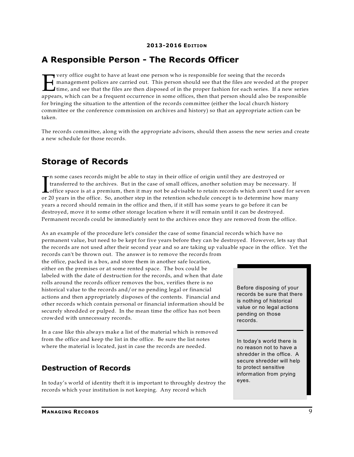# **A Responsible Person - The Records Officer**

From the cought to have at least one person who is responsible for seeing that the records<br>
management polices are carried out. This person should see that the files are weeded at the proper<br>
time, and see that the files a very office ought to have at least one person who is responsible for seeing that the records management polices are carried out. This person should see that the files are weeded at the proper I time, and see that the files are then disposed of in the proper fashion for each series. If a new series for bringing the situation to the attention of the records committee (either the local church history committee or the conference commission on archives and history) so that an appropriate action can be taken.

The records committee, along with the appropriate advisors, should then assess the new series and create a new schedule for those records.

# **Storage of Records**

 $\prod_{\alpha\in\mathbb{Z}}$ n some cases records might be able to stay in their office of origin until they are destroyed or transferred to the archives. But in the case of small offices, another solution may be necessary. If office space is at a premium, then it may not be advisable to retain records which aren't used for seven or 20 years in the office. So, another step in the retention schedule concept is to determine how many years a record should remain in the office and then, if it still has some years to go before it can be destroyed, move it to some other storage location where it will remain until it can be destroyed. Permanent records could be immediately sent to the archives once they are removed from the office.

As an example of the procedure let's consider the case of some financial records which have no permanent value, but need to be kept for five years before they can be destroyed. However, lets say that the records are not used after their second year and so are taking up valuable space in the office. Yet the records can't be thrown out. The answer is to remove the records from

the office, packed in a box, and store them in another safe location, either on the premises or at some rented space. The box could be labeled with the date of destruction for the records, and when that date rolls around the records officer removes the box, verifies there is no historical value to the records and/or no pending legal or financial actions and then appropriately disposes of the contents. Financial and other records which contain personal or financial information should be securely shredded or pulped. In the mean time the office has not been crowded with unnecessary records.

In a case like this always make a list of the material which is removed from the office and keep the list in the office. Be sure the list notes where the material is located, just in case the records are needed.

## **Destruction of Records**

In today's world of identity theft it is important to throughly destroy the records which your institution is not keeping. Any record which

Before disposing of your records be sure that there is nothing of historical value or no legal actions pending on those records.

In today's world there is no reason not to have a shredder in the office. A secure shredder will help to protect sensitive information from prying eyes.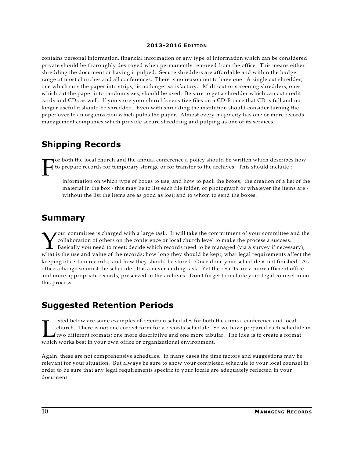contains personal information, financial information or any type of information which can be considered private should be thoroughly destroyed when permanently removed from the office. This means either shredding the document or having it pulped. Secure shredders are affordable and within the budget range of most churches and all conferences. There is no reason not to have one. A single cut shredder, one which cuts the paper into strips, is no longer satisfactory. Multi-cut or screening shredders, ones which cut the paper into random sizes, should be used. Be sure to get a shredder which can cut credit cards and CDs as well. If you store your church's sensitive files on a CD-R once that CD is full and no longer useful it should be shredded. Even with shredding the institution should consider turning the paper over to an organization which pulps the paper. Almost every major city has one or more records management companies which provide secure shredding and pulping as one of its services.

# **Shipping Records**

F or both the local church and the annual conference a policy should be written which describes how to prepare records for temporary storage or for transfer to the archives. This should include :

information on which type of boxes to use, and how to pack the boxes; the creation of a list of the material in the box - this may be to list each file folder, or photograph or whatever the items are without the list the items are as good as lost; and to whom to send the boxes.

# **Summary**

Vour committee is charged with a large task. It will take the commitment of your committee and the collaboration of others on the conference or local church level to make the process a success.<br>Basically you need to meet; our committee is charged with a large task. It will take the commitment of your committee and the collaboration of others on the conference or local church level to make the process a success. Basically you need to meet; decide which records need to be managed (via a survey if necessary), keeping of certain records; and how they should be stored. Once done your schedule is not finished. As offices change so must the schedule. It is a never-ending task. Yet the results are a more efficient office and more appropriate records, preserved in the archives. Don't forget to include your legal counsel in on this process.

# **Suggested Retention Periods**

Isted below are some examples of retention schedules for both<br>church. There is not one correct form for a records schedule. S<br>which works best in your own office or organizational environment. isted below are some examples of retention schedules for both the annual conference and local church. There is not one correct form for a records schedule. So we have prepared each schedule in two different formats; one more descriptive and one more tabular. The idea is to create a format

Again, these are not comprehensive schedules. In many cases the time factors and suggestions may be relevant for your situation. But always be sure to show your completed schedule to your local counsel in order to be sure that any legal requirements specific to your locale are adequately reflected in your document.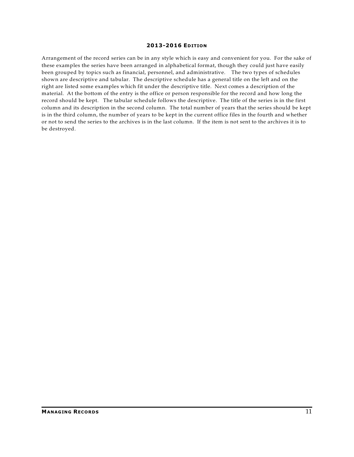Arrangement of the record series can be in any style which is easy and convenient for you. For the sake of these examples the series have been arranged in alphabetical format, though they could just have easily been grouped by topics such as financial, personnel, and administrative. The two types of schedules shown are descriptive and tabular. The descriptive schedule has a general title on the left and on the right are listed some examples which fit under the descriptive title. Next comes a description of the material. At the bottom of the entry is the office or person responsible for the record and how long the record should be kept. The tabular schedule follows the descriptive. The title of the series is in the first column and its description in the second column. The total number of years that the series should be kept is in the third column, the number of years to be kept in the current office files in the fourth and whether or not to send the series to the archives is in the last column. If the item is not sent to the archives it is to be destroyed.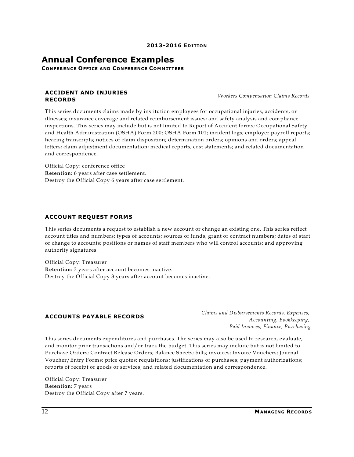## **Annual Conference Examples**

**CONFERENCE OFFICE AND CONFERENCE COMMITTEES**

#### **ACCIDENT AND INJURIES RECORDS**

*Workers Compensation Claims Records*

This series documents claims made by institution employees for occupational injuries, accidents, or illnesses; insurance coverage and related reimbursement issues; and safety analysis and compliance inspections. This series may include but is not limited to Report of Accident forms; Occupational Safety and Health Administration (OSHA) Form 200; OSHA Form 101; incident logs; employer payroll reports; hearing transcripts; notices of claim disposition; determination orders; opinions and orders; appeal letters; claim adjustment documentation; medical reports; cost statements; and related documentation and correspondence.

Official Copy: conference office **Retention:** 6 years after case settlement. Destroy the Official Copy 6 years after case settlement.

#### **ACCOUNT REQUEST FORMS**

This series documents a request to establish a new account or change an existing one. This series reflect account titles and numbers; types of accounts; sources of funds; grant or contract numbers; dates of start or change to accounts; positions or names of staff members who will control accounts; and approving authority signatures.

Official Copy: Treasurer **Retention:** 3 years after account becomes inactive. Destroy the Official Copy 3 years after account becomes inactive.

#### **ACCOUNTS PAYABLE RECORDS**

*Claims and Disbursements Records, Expenses, Accounting, Bookkeeping, Paid Invoices, Finance, Purchasing*

This series documents expenditures and purchases. The series may also be used to research, evaluate, and monitor prior transactions and/or track the budget. This series may include but is not limited to Purchase Orders; Contract Release Orders; Balance Sheets; bills; invoices; Invoice Vouchers; Journal Voucher/Entry Forms; price quotes; requisitions; justifications of purchases; payment authorizations; reports of receipt of goods or services; and related documentation and correspondence.

Official Copy: Treasurer **Retention:** 7 years Destroy the Official Copy after 7 years.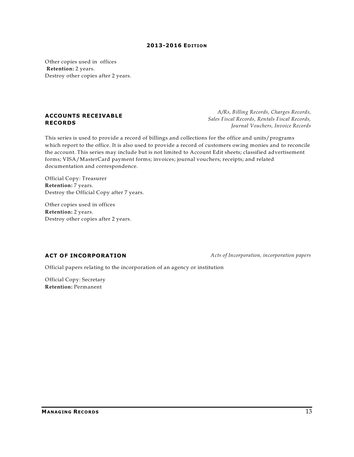Other copies used in offices **Retention:** 2 years. Destroy other copies after 2 years.

#### **ACCOUNTS RECEIVABLE RECORDS**

This series is used to provide a record of billings and collections for the office and units/programs which report to the office. It is also used to provide a record of customers owing monies and to reconcile the account. This series may include but is not limited to Account Edit sheets; classified advertisement forms; VISA/MasterCard payment forms; invoices; journal vouchers; receipts; and related documentation and correspondence.

Official Copy: Treasurer **Retention:** 7 years. Destroy the Official Copy after 7 years.

Other copies used in offices **Retention:** 2 years. Destroy other copies after 2 years.

**ACT OF INCORPORATION** *Acts of Incorporation, incorporation papers*

Official papers relating to the incorporation of an agency or institution

Official Copy: Secretary **Retention:** Permanent

*A/Rs, Billing Records, Charges Records, Sales Fiscal Records, Rentals Fiscal Records, Journal Vouchers, Invoice Records*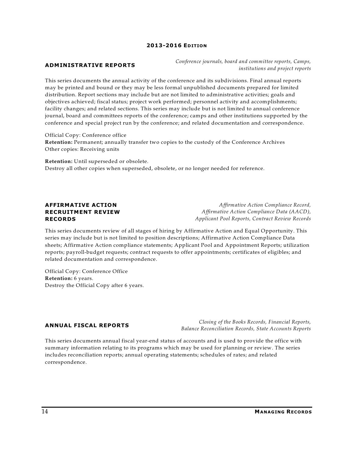#### **ADMINISTRATIVE REPORTS**

*Conference journals, board and committee reports, Camps, institutions and project reports*

This series documents the annual activity of the conference and its subdivisions. Final annual reports may be printed and bound or they may be less formal unpublished documents prepared for limited distribution. Report sections may include but are not limited to administrative activities; goals and objectives achieved; fiscal status; project work performed; personnel activity and accomplishments; facility changes; and related sections. This series may include but is not limited to annual conference journal, board and committees reports of the conference; camps and other institutions supported by the conference and special project run by the conference; and related documentation and correspondence.

Official Copy: Conference office **Retention:** Permanent; annually transfer two copies to the custody of the Conference Archives Other copies: Receiving units

**Retention:** Until superseded or obsolete. Destroy all other copies when superseded, obsolete, or no longer needed for reference.

#### **AFFIRMATIVE ACTION RECRUITMENT REVIEW RECORDS**

*Affirmative Action Compliance Record, Affirmative Action Compliance Data (AACD), Applicant Pool Reports, Contract Review Records*

This series documents review of all stages of hiring by Affirmative Action and Equal Opportunity. This series may include but is not limited to position descriptions; Affirmative Action Compliance Data sheets; Affirmative Action compliance statements; Applicant Pool and Appointment Reports; utilization reports; payroll-budget requests; contract requests to offer appointments; certificates of eligibles; and related documentation and correspondence.

Official Copy: Conference Office **Retention:** 6 years. Destroy the Official Copy after 6 years.

#### **ANNUAL FISCAL REPORTS**

*Closing of the Books Records, Financial Reports, Balance Reconciliation Records, State Accounts Reports*

This series documents annual fiscal year-end status of accounts and is used to provide the office with summary information relating to its programs which may be used for planning or review. The series includes reconciliation reports; annual operating statements; schedules of rates; and related correspondence.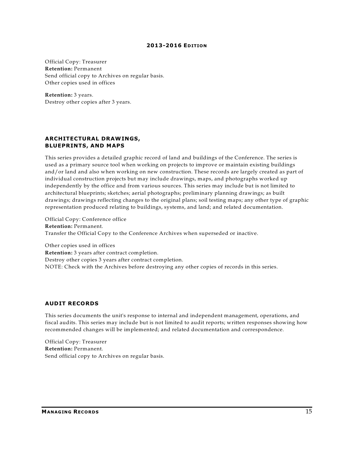Official Copy: Treasurer **Retention:** Permanent Send official copy to Archives on regular basis. Other copies used in offices

**Retention:** 3 years. Destroy other copies after 3 years.

#### **ARCHITECTURAL DRAWINGS, BLUEPRINTS, AND MAPS**

This series provides a detailed graphic record of land and buildings of the Conference. The series is used as a primary source tool when working on projects to improve or maintain existing buildings and/or land and also when working on new construction. These records are largely created as part of individual construction projects but may include drawings, maps, and photographs worked up independently by the office and from various sources. This series may include but is not limited to architectural blueprints; sketches; aerial photographs; preliminary planning drawings; as built drawings; drawings reflecting changes to the original plans; soil testing maps; any other type of graphic representation produced relating to buildings, systems, and land; and related documentation.

Official Copy: Conference office **Retention:** Permanent. Transfer the Official Copy to the Conference Archives when superseded or inactive.

Other copies used in offices **Retention:** 3 years after contract completion. Destroy other copies 3 years after contract completion. NOTE: Check with the Archives before destroying any other copies of records in this series.

#### **AUDIT RECORDS**

This series documents the unit's response to internal and independent management, operations, and fiscal audits. This series may include but is not limited to audit reports; written responses showing how recommended changes will be implemented; and related documentation and correspondence.

Official Copy: Treasurer **Retention:** Permanent. Send official copy to Archives on regular basis.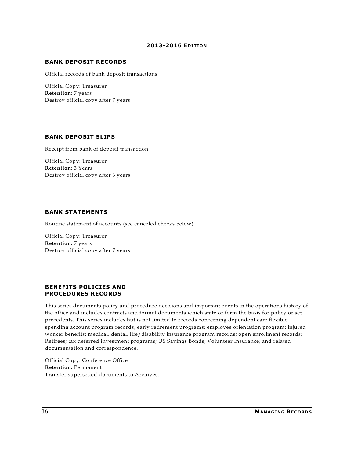#### **BANK DEPOSIT RECORDS**

Official records of bank deposit transactions

Official Copy: Treasurer **Retention:** 7 years Destroy official copy after 7 years

#### **BANK DEPOSIT SLIPS**

Receipt from bank of deposit transaction

Official Copy: Treasurer **Retention:** 3 Years Destroy official copy after 3 years

#### **BANK STATEMENTS**

Routine statement of accounts (see canceled checks below).

Official Copy: Treasurer **Retention:** 7 years Destroy official copy after 7 years

#### **BENEFITS POLICIES AND PROCEDURES RECORDS**

This series documents policy and procedure decisions and important events in the operations history of the office and includes contracts and formal documents which state or form the basis for policy or set precedents. This series includes but is not limited to records concerning dependent care flexible spending account program records; early retirement programs; employee orientation program; injured worker benefits; medical, dental, life/disability insurance program records; open enrollment records; Retirees; tax deferred investment programs; US Savings Bonds; Volunteer Insurance; and related documentation and correspondence.

Official Copy: Conference Office **Retention:** Permanent Transfer superseded documents to Archives.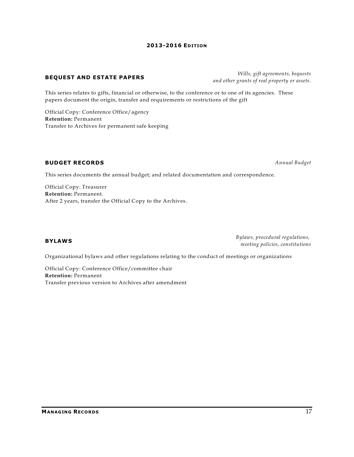#### **BEQUEST AND ESTATE PAPERS**

This series relates to gifts, financial or otherwise, to the conference or to one of its agencies. These papers document the origin, transfer and requirements or restrictions of the gift

Official Copy: Conference Office/agency **Retention:** Permanent Transfer to Archives for permanent safe keeping

#### **BUDGET RECORDS** *Annual Budget*

This series documents the annual budget; and related documentation and correspondence.

Official Copy: Treasurer **Retention:** Permanent. After 2 years, transfer the Official Copy to the Archives.

#### **BYLAWS**

*Bylaws, procedural regulations, meeting policies, constitutions*

Organizational bylaws and other regulations relating to the conduct of meetings or organizations

Official Copy: Conference Office/committee chair **Retention:** Permanent Transfer previous version to Archives after amendment

#### *Wills, gift agreements, bequests and other grants of real property or assets.*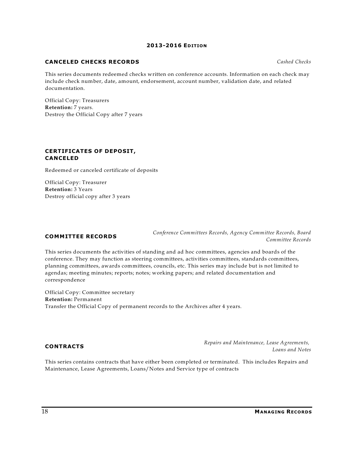#### **CANCELED CHECKS RECORDS** *Cashed Checks*

This series documents redeemed checks written on conference accounts. Information on each check may include check number, date, amount, endorsement, account number, validation date, and related documentation.

Official Copy: Treasurers **Retention:** 7 years. Destroy the Official Copy after 7 years

#### **CERTIFICATES OF DEPOSIT, CANCELED**

Redeemed or canceled certificate of deposits

Official Copy: Treasurer **Retention:** 3 Years Destroy official copy after 3 years

#### **COMMITTEE RECORDS**

*Conference Committees Records, Agency Committee Records, Board Committee Records*

This series documents the activities of standing and ad hoc committees, agencies and boards of the conference. They may function as steering committees, activities committees, standards committees, planning committees, awards committees, councils, etc. This series may include but is not limited to agendas; meeting minutes; reports; notes; working papers; and related documentation and correspondence

Official Copy: Committee secretary **Retention:** Permanent Transfer the Official Copy of permanent records to the Archives after 4 years.

#### **CONTRACTS**

*Repairs and Maintenance, Lease Agreements, Loans and Notes*

This series contains contracts that have either been completed or terminated. This includes Repairs and Maintenance, Lease Agreements, Loans/Notes and Service type of contracts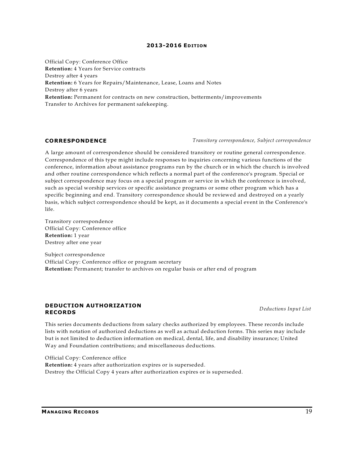Official Copy: Conference Office **Retention:** 4 Years for Service contracts Destroy after 4 years **Retention:** 6 Years for Repairs/Maintenance, Lease, Loans and Notes Destroy after 6 years **Retention:** Permanent for contracts on new construction, betterments/improvements Transfer to Archives for permanent safekeeping.

#### **CORRESPONDENCE** *Transitory correspondence, Subject correspondence*

A large amount of correspondence should be considered transitory or routine general correspondence. Correspondence of this type might include responses to inquiries concerning various functions of the conference, information about assistance programs run by the church or in which the church is involved and other routine correspondence which reflects a normal part of the conference's program. Special or subject correspondence may focus on a special program or service in which the conference is involved, such as special worship services or specific assistance programs or some other program which has a specific beginning and end. Transitory correspondence should be reviewed and destroyed on a yearly basis, which subject correspondence should be kept, as it documents a special event in the Conference's life.

Transitory correspondence Official Copy: Conference office **Retention:** 1 year Destroy after one year

Subject correspondence Official Copy: Conference office or program secretary **Retention:** Permanent; transfer to archives on regular basis or after end of program

#### **DEDUCTION AUTHORIZATION RECORDS**

*Deductions Input List*

This series documents deductions from salary checks authorized by employees. These records include lists with notation of authorized deductions as well as actual deduction forms. This series may include but is not limited to deduction information on medical, dental, life, and disability insurance; United Way and Foundation contributions; and miscellaneous deductions.

Official Copy: Conference office **Retention:** 4 years after authorization expires or is superseded. Destroy the Official Copy 4 years after authorization expires or is superseded.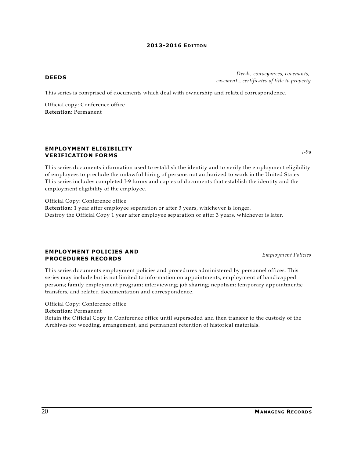*Employment Policies*

#### **DEEDS**

This series is comprised of documents which deal with ownership and related correspondence.

Official copy: Conference office **Retention:** Permanent

#### **EMPLOYMENT ELIGIBILITY VERIFICATION FORMS**

This series documents information used to establish the identity and to verify the employment eligibility of employees to preclude the unlawful hiring of persons not authorized to work in the United States. This series includes completed I-9 forms and copies of documents that establish the identity and the employment eligibility of the employee.

Official Copy: Conference office **Retention:** 1 year after employee separation or after 3 years, whichever is longer. Destroy the Official Copy 1 year after employee separation or after 3 years, whichever is later.

#### **EMPLOYMENT POLICIES AND PROCEDURES RECORDS**

This series documents employment policies and procedures administered by personnel offices. This series may include but is not limited to information on appointments; employment of handicapped persons; family employment program; interviewing; job sharing; nepotism; temporary appointments; transfers; and related documentation and correspondence.

#### Official Copy: Conference office

**Retention:** Permanent

Retain the Official Copy in Conference office until superseded and then transfer to the custody of the Archives for weeding, arrangement, and permanent retention of historical materials.

*I*-9s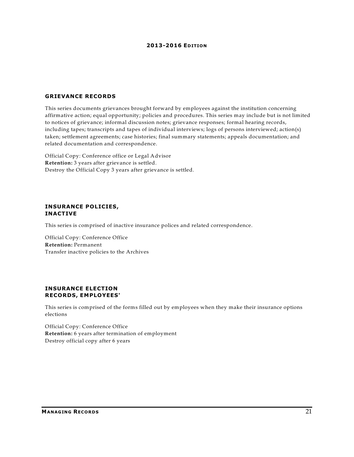#### **GRIEVANCE RECORDS**

This series documents grievances brought forward by employees against the institution concerning affirmative action; equal opportunity; policies and procedures. This series may include but is not limited to notices of grievance; informal discussion notes; grievance responses; formal hearing records, including tapes; transcripts and tapes of individual interviews; logs of persons interviewed; action(s) taken; settlement agreements; case histories; final summary statements; appeals documentation; and related documentation and correspondence.

Official Copy: Conference office or Legal Advisor **Retention:** 3 years after grievance is settled. Destroy the Official Copy 3 years after grievance is settled.

#### **INSURANCE POLICIES, INACTIVE**

This series is comprised of inactive insurance polices and related correspondence.

Official Copy: Conference Office **Retention:** Permanent Transfer inactive policies to the Archives

#### **INSURANCE ELECTION RECORDS, EMPLOYEES'**

This series is comprised of the forms filled out by employees when they make their insurance options elections

Official Copy: Conference Office **Retention:** 6 years after termination of employment Destroy official copy after 6 years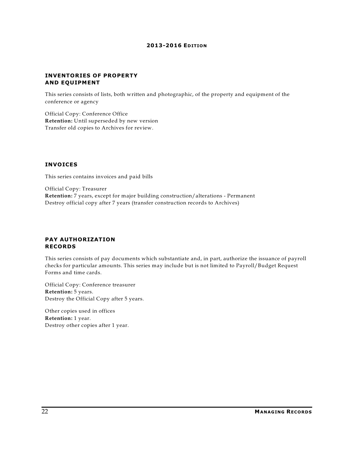#### **INVENTORIES OF PROPERTY AND EQUIPMENT**

This series consists of lists, both written and photographic, of the property and equipment of the conference or agency

Official Copy: Conference Office **Retention:** Until superseded by new version Transfer old copies to Archives for review.

#### **INVOICES**

This series contains invoices and paid bills

Official Copy: Treasurer **Retention:** 7 years, except for major building construction/alterations - Permanent Destroy official copy after 7 years (transfer construction records to Archives)

#### **PAY AUTHORIZATION RECORDS**

This series consists of pay documents which substantiate and, in part, authorize the issuance of payroll checks for particular amounts. This series may include but is not limited to Payroll/Budget Request Forms and time cards.

Official Copy: Conference treasurer **Retention:** 5 years. Destroy the Official Copy after 5 years.

Other copies used in offices **Retention:** 1 year. Destroy other copies after 1 year.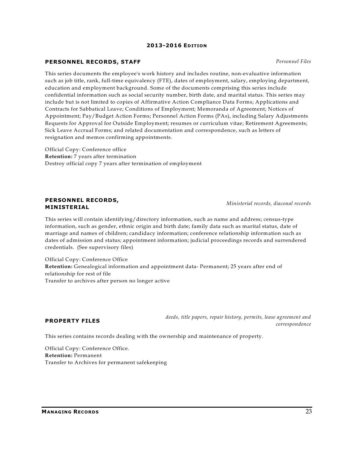#### **PERSONNEL RECORDS, STAFF** *Personnel Files*

This series documents the employee's work history and includes routine, non-evaluative information such as job title, rank, full-time equivalency (FTE), dates of employment, salary, employing department, education and employment background. Some of the documents comprising this series include confidential information such as social security number, birth date, and marital status. This series may include but is not limited to copies of Affirmative Action Compliance Data Forms; Applications and Contracts for Sabbatical Leave; Conditions of Employment; Memoranda of Agreement; Notices of Appointment; Pay/Budget Action Forms; Personnel Action Forms (PAs), including Salary Adjustments Requests for Approval for Outside Employment; resumes or curriculum vitae; Retirement Agreements; Sick Leave Accrual Forms; and related documentation and correspondence, such as letters of resignation and memos confirming appointments.

Official Copy: Conference office **Retention:** 7 years after termination Destroy official copy 7 years after termination of employment

#### **PERSONNEL RECORDS, MINISTERIAL**

credentials. (See supervisory files)

This series will contain identifying/directory information, such as name and address; census-type information, such as gender, ethnic origin and birth date; family data such as marital status, date of marriage and names of children; candidacy information; conference relationship information such as dates of admission and status; appointment information; judicial proceedings records and surrendered

Official Copy: Conference Office **Retention:** Genealogical information and appointment data- Permanent; 25 years after end of relationship for rest of file Transfer to archives after person no longer active

#### **PROPERTY FILES**

*deeds, title papers, repair history, permits, lease agreement and correspondence*

This series contains records dealing with the ownership and maintenance of property.

Official Copy: Conference Office. **Retention:** Permanent Transfer to Archives for permanent safekeeping

*Ministerial records, diaconal records*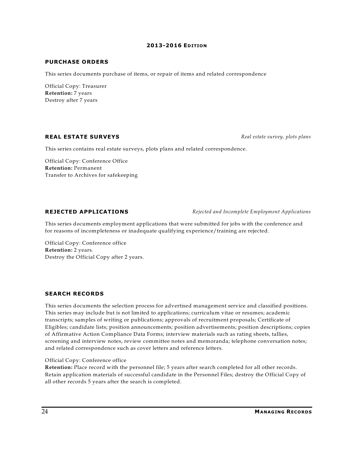#### **PURCHASE ORDERS**

This series documents purchase of items, or repair of items and related correspondence

Official Copy: Treasurer **Retention:** 7 years Destroy after 7 years

#### **REAL ESTATE SURVEYS** *Real estate survey, plots plans*

This series contains real estate surveys, plots plans and related correspondence.

Official Copy: Conference Office **Retention:** Permanent Transfer to Archives for safekeeping

**REJECTED APPLICATIONS** *Rejected and Incomplete Employment Applications*

This series documents employment applications that were submitted for jobs with the conference and for reasons of incompleteness or inadequate qualifying experience/training are rejected.

Official Copy: Conference office **Retention:** 2 years. Destroy the Official Copy after 2 years.

#### **SEARCH RECORDS**

This series documents the selection process for advertised management service and classified positions. This series may include but is not limited to applications; curriculum vitae or resumes; academic transcripts; samples of writing or publications; approvals of recruitment proposals; Certificate of Eligibles; candidate lists; position announcements; position advertisements; position descriptions; copies of Affirmative Action Compliance Data Forms; interview materials such as rating sheets, tallies, screening and interview notes, review committee notes and memoranda; telephone conversation notes; and related correspondence such as cover letters and reference letters.

#### Official Copy: Conference office

**Retention:** Place record with the personnel file; 5 years after search completed for all other records. Retain application materials of successful candidate in the Personnel Files; destroy the Official Copy of all other records 5 years after the search is completed.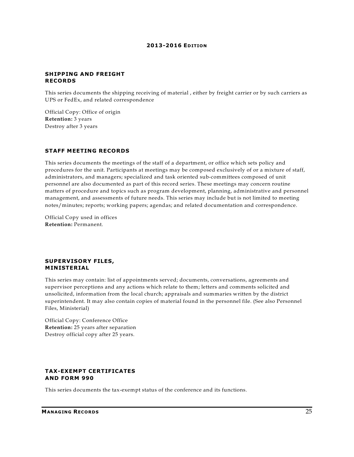#### **SHIPPING AND FREIGHT RECORDS**

This series documents the shipping receiving of material , either by freight carrier or by such carriers as UPS or FedEx, and related correspondence

Official Copy: Office of origin **Retention:** 3 years Destroy after 3 years

#### **STAFF MEETING RECORDS**

This series documents the meetings of the staff of a department, or office which sets policy and procedures for the unit. Participants at meetings may be composed exclusively of or a mixture of staff, administrators, and managers; specialized and task oriented sub-committees composed of unit personnel are also documented as part of this record series. These meetings may concern routine matters of procedure and topics such as program development, planning, administrative and personnel management, and assessments of future needs. This series may include but is not limited to meeting notes/minutes; reports; working papers; agendas; and related documentation and correspondence.

Official Copy used in offices **Retention:** Permanent.

#### **SUPERVISORY FILES, MINISTERIAL**

This series may contain: list of appointments served; documents, conversations, agreements and supervisor perceptions and any actions which relate to them; letters and comments solicited and unsolicited, information from the local church; appraisals and summaries written by the district superintendent. It may also contain copies of material found in the personnel file. (See also Personnel Files, Ministerial)

Official Copy: Conference Office **Retention:** 25 years after separation Destroy official copy after 25 years.

### **TAX-EXEMPT CERTIFICATES AND FORM 990**

This series documents the tax-exempt status of the conference and its functions.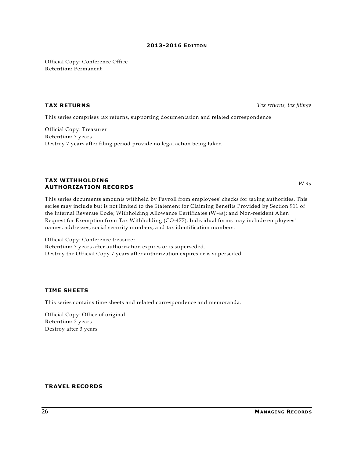Official Copy: Conference Office **Retention:** Permanent

**TAX RETURNS** *Tax returns, tax filings*

*W-4s*

This series comprises tax returns, supporting documentation and related correspondence

Official Copy: Treasurer **Retention:** 7 years Destroy 7 years after filing period provide no legal action being taken

#### **TAX WITHHOLDING AUTHORIZATION RECORDS**

This series documents amounts withheld by Payroll from employees' checks for taxing authorities. This series may include but is not limited to the Statement for Claiming Benefits Provided by Section 911 of the Internal Revenue Code; Withholding Allowance Certificates (W-4s); and Non-resident Alien Request for Exemption from Tax Withholding (CO-477). Individual forms may include employees' names, addresses, social security numbers, and tax identification numbers.

Official Copy: Conference treasurer **Retention:** 7 years after authorization expires or is superseded. Destroy the Official Copy 7 years after authorization expires or is superseded.

#### **TIME SHEETS**

This series contains time sheets and related correspondence and memoranda.

Official Copy: Office of original **Retention:** 3 years Destroy after 3 years

#### **TRAVEL RECORDS**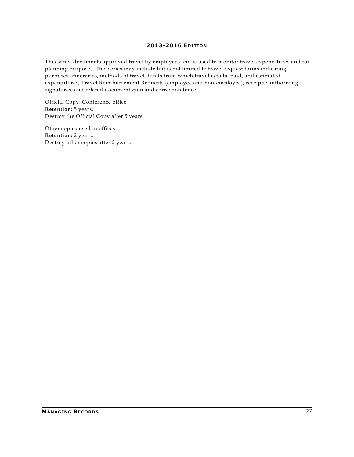This series documents approved travel by employees and is used to monitor travel expenditures and for planning purposes. This series may include but is not limited to travel request forms indicating purposes, itineraries, methods of travel, funds from which travel is to be paid, and estimated expenditures; Travel Reimbursement Requests (employee and non-employee); receipts; authorizing signatures; and related documentation and correspondence.

Official Copy: Conference office **Retention:** 5 years. Destroy the Official Copy after 5 years.

Other copies used in offices **Retention:** 2 years. Destroy other copies after 2 years.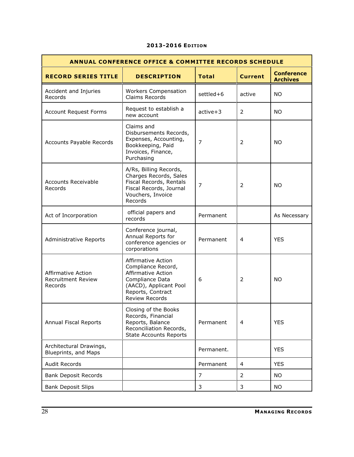| <b>ANNUAL CONFERENCE OFFICE &amp; COMMITTEE RECORDS SCHEDULE</b>  |                                                                                                                                                           |                |                |                                      |
|-------------------------------------------------------------------|-----------------------------------------------------------------------------------------------------------------------------------------------------------|----------------|----------------|--------------------------------------|
| <b>RECORD SERIES TITLE</b>                                        | <b>DESCRIPTION</b>                                                                                                                                        | <b>Total</b>   | <b>Current</b> | <b>Conference</b><br><b>Archives</b> |
| Accident and Injuries<br>Records                                  | <b>Workers Compensation</b><br>Claims Records                                                                                                             | settled+6      | active         | <b>NO</b>                            |
| <b>Account Request Forms</b>                                      | Request to establish a<br>new account                                                                                                                     | $active+3$     | 2              | <b>NO</b>                            |
| Accounts Payable Records                                          | Claims and<br>Disbursements Records,<br>Expenses, Accounting,<br>Bookkeeping, Paid<br>Invoices, Finance,<br>Purchasing                                    | $\overline{7}$ | 2              | <b>NO</b>                            |
| <b>Accounts Receivable</b><br>Records                             | A/Rs, Billing Records,<br>Charges Records, Sales<br>Fiscal Records, Rentals<br>Fiscal Records, Journal<br>Vouchers, Invoice<br>Records                    | 7              | 2              | NO.                                  |
| Act of Incorporation                                              | official papers and<br>records                                                                                                                            | Permanent      |                | As Necessary                         |
| Administrative Reports                                            | Conference journal,<br>Annual Reports for<br>conference agencies or<br>corporations                                                                       | Permanent      | 4              | <b>YES</b>                           |
| <b>Affirmative Action</b><br><b>Recruitment Review</b><br>Records | Affirmative Action<br>Compliance Record,<br>Affirmative Action<br>Compliance Data<br>(AACD), Applicant Pool<br>Reports, Contract<br><b>Review Records</b> | 6              | 2              | NO.                                  |
| Annual Fiscal Reports                                             | Closing of the Books<br>Records, Financial<br>Reports, Balance<br>Reconciliation Records,<br><b>State Accounts Reports</b>                                | Permanent      | 4              | <b>YES</b>                           |
| Architectural Drawings,<br>Blueprints, and Maps                   |                                                                                                                                                           | Permanent.     |                | <b>YES</b>                           |
| <b>Audit Records</b>                                              |                                                                                                                                                           | Permanent      | 4              | <b>YES</b>                           |
| <b>Bank Deposit Records</b>                                       |                                                                                                                                                           | $\overline{7}$ | 2              | <b>NO</b>                            |
| <b>Bank Deposit Slips</b>                                         |                                                                                                                                                           | 3              | 3              | <b>NO</b>                            |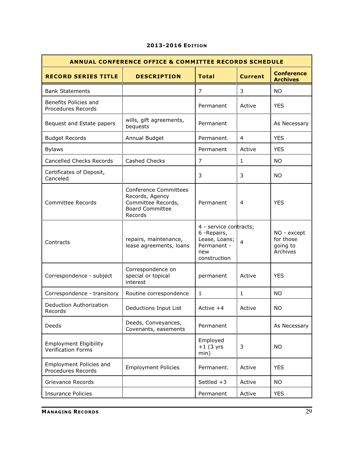| <b>ANNUAL CONFERENCE OFFICE &amp; COMMITTEE RECORDS SCHEDULE</b> |                                                                                                            |                                                                                               |                |                                                  |
|------------------------------------------------------------------|------------------------------------------------------------------------------------------------------------|-----------------------------------------------------------------------------------------------|----------------|--------------------------------------------------|
| <b>RECORD SERIES TITLE</b>                                       | <b>DESCRIPTION</b>                                                                                         | <b>Total</b>                                                                                  | <b>Current</b> | <b>Conference</b><br><b>Archives</b>             |
| <b>Bank Statements</b>                                           |                                                                                                            | 7                                                                                             | 3              | <b>NO</b>                                        |
| Benefits Policies and<br>Procedures Records                      |                                                                                                            | Permanent                                                                                     | Active         | <b>YES</b>                                       |
| Bequest and Estate papers                                        | wills, gift agreements,<br>bequests                                                                        | Permanent                                                                                     |                | As Necessary                                     |
| <b>Budget Records</b>                                            | Annual Budget                                                                                              | Permanent.                                                                                    | 4              | <b>YES</b>                                       |
| <b>Bylaws</b>                                                    |                                                                                                            | Permanent                                                                                     | Active         | <b>YES</b>                                       |
| <b>Cancelled Checks Records</b>                                  | Cashed Checks                                                                                              | 7                                                                                             | $\mathbf{1}$   | <b>NO</b>                                        |
| Certificates of Deposit,<br>Canceled                             |                                                                                                            | 3                                                                                             | 3              | <b>NO</b>                                        |
| Committee Records                                                | <b>Conference Committees</b><br>Records, Agency<br>Committee Records,<br><b>Board Committee</b><br>Records | Permanent                                                                                     | 4              | <b>YES</b>                                       |
| Contracts                                                        | repairs, maintenance,<br>lease agreements, loans                                                           | 4 - service contracts;<br>6 - Repairs,<br>Lease, Loans;<br>Permanent -<br>new<br>construction | $\overline{4}$ | NO - except<br>for those<br>going to<br>Archives |
| Correspondence - subject                                         | Correspondence on<br>special or topical<br>interest                                                        | permanent                                                                                     | Active         | <b>YES</b>                                       |
| Correspondence - transitory                                      | Routine correspondence                                                                                     | $\mathbf{1}$                                                                                  | 1              | <b>NO</b>                                        |
| Deduction Authorization<br>Records                               | Deductions Input List                                                                                      | Active $+4$                                                                                   | Active         | <b>NO</b>                                        |
| Deeds                                                            | Deeds, Conveyances,<br>Covenants, easements                                                                | Permanent                                                                                     |                | As Necessary                                     |
| <b>Employment Eligibility</b><br><b>Verification Forms</b>       |                                                                                                            | Employed<br>$+1$ (3 yrs<br>min)                                                               | 3              | <b>NO</b>                                        |
| Employment Policies and<br>Procedures Records                    | <b>Employment Policies</b>                                                                                 | Permanent.                                                                                    | Active         | <b>YES</b>                                       |
| Grievance Records                                                |                                                                                                            | Settled $+3$                                                                                  | Active         | <b>NO</b>                                        |
| <b>Insurance Policies</b>                                        |                                                                                                            | Permanent                                                                                     | Active         | <b>YES</b>                                       |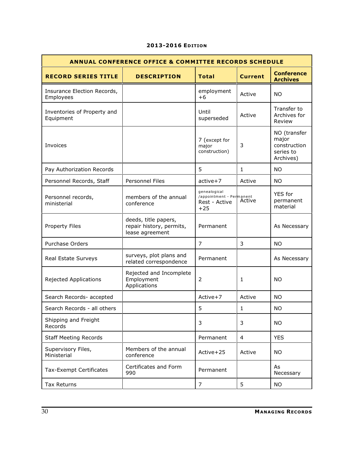| <b>ANNUAL CONFERENCE OFFICE &amp; COMMITTEE RECORDS SCHEDULE</b> |                                                                     |                                                                    |              |                                                                 |
|------------------------------------------------------------------|---------------------------------------------------------------------|--------------------------------------------------------------------|--------------|-----------------------------------------------------------------|
| <b>RECORD SERIES TITLE</b>                                       | <b>DESCRIPTION</b>                                                  | <b>Total</b>                                                       | Current      | <b>Conference</b><br><b>Archives</b>                            |
| Insurance Election Records,<br>Employees                         |                                                                     | employment<br>$+6$                                                 | Active       | <b>NO</b>                                                       |
| Inventories of Property and<br>Equipment                         |                                                                     | Until<br>superseded                                                | Active       | Transfer to<br>Archives for<br>Review                           |
| Invoices                                                         |                                                                     | 7 (except for<br>major<br>construction)                            | 3            | NO (transfer<br>major<br>construction<br>series to<br>Archives) |
| Pay Authorization Records                                        |                                                                     | 5                                                                  | $\mathbf{1}$ | <b>NO</b>                                                       |
| Personnel Records, Staff                                         | <b>Personnel Files</b>                                              | $active+7$                                                         | Active       | <b>NO</b>                                                       |
| Personnel records,<br>ministerial                                | members of the annual<br>conference                                 | genealogical<br>/appointment - Permanent<br>Rest - Active<br>$+25$ | Active       | <b>YES</b> for<br>permanent<br>material                         |
| Property Files                                                   | deeds, title papers,<br>repair history, permits,<br>lease agreement | Permanent                                                          |              | As Necessary                                                    |
| Purchase Orders                                                  |                                                                     | $\overline{7}$                                                     | 3            | <b>NO</b>                                                       |
| Real Estate Surveys                                              | surveys, plot plans and<br>related correspondence                   | Permanent                                                          |              | As Necessary                                                    |
| <b>Rejected Applications</b>                                     | Rejected and Incomplete<br>Employment<br>Applications               | $\overline{2}$                                                     | 1            | <b>NO</b>                                                       |
| Search Records- accepted                                         |                                                                     | Active+7                                                           | Active       | <b>NO</b>                                                       |
| Search Records - all others                                      |                                                                     | 5                                                                  | 1            | <b>NO</b>                                                       |
| Shipping and Freight<br>Records                                  |                                                                     | 3                                                                  | 3            | <b>NO</b>                                                       |
| <b>Staff Meeting Records</b>                                     |                                                                     | Permanent                                                          | 4            | <b>YES</b>                                                      |
| Supervisory Files,<br>Ministerial                                | Members of the annual<br>conference                                 | Active+25                                                          | Active       | <b>NO</b>                                                       |
| Tax-Exempt Certificates                                          | Certificates and Form<br>990                                        | Permanent                                                          |              | As<br>Necessary                                                 |
| Tax Returns                                                      |                                                                     | $\overline{7}$                                                     | 5            | <b>NO</b>                                                       |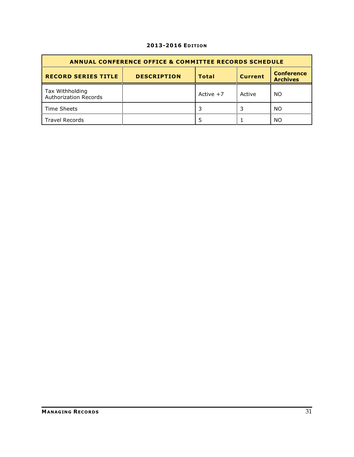| <b>ANNUAL CONFERENCE OFFICE &amp; COMMITTEE RECORDS SCHEDULE</b>                                                           |  |             |        |    |  |  |
|----------------------------------------------------------------------------------------------------------------------------|--|-------------|--------|----|--|--|
| <b>Conference</b><br><b>RECORD SERIES TITLE</b><br><b>DESCRIPTION</b><br><b>Current</b><br><b>Total</b><br><b>Archives</b> |  |             |        |    |  |  |
| Tax Withholding<br><b>Authorization Records</b>                                                                            |  | Active $+7$ | Active | NO |  |  |
| Time Sheets                                                                                                                |  |             |        | NO |  |  |
| <b>Travel Records</b>                                                                                                      |  |             |        | ΝO |  |  |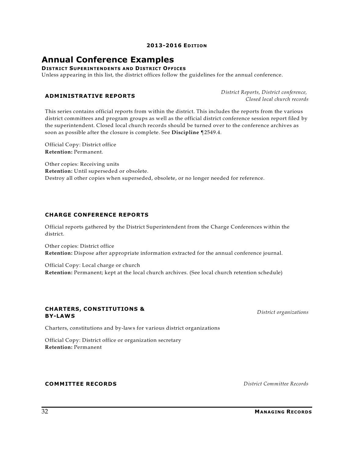# **Annual Conference Examples**

**DISTRICT SUPERINTENDENTS AND DISTRICT OFFICES**

Unless appearing in this list, the district offices follow the guidelines for the annual conference.

#### **ADMINISTRATIVE REPORTS**

*District Reports, District conference, Closed local church records*

This series contains official reports from within the district. This includes the reports from the various district committees and program groups as well as the official district conference session report filed by the superintendent. Closed local church records should be turned over to the conference archives as soon as possible after the closure is complete. See **Discipline** ¶2549.4.

Official Copy: District office **Retention:** Permanent.

Other copies: Receiving units **Retention:** Until superseded or obsolete. Destroy all other copies when superseded, obsolete, or no longer needed for reference.

#### **CHARGE CONFERENCE REPORTS**

Official reports gathered by the District Superintendent from the Charge Conferences within the district.

Other copies: District office **Retention:** Dispose after appropriate information extracted for the annual conference journal.

Official Copy: Local charge or church **Retention:** Permanent; kept at the local church archives. (See local church retention schedule)

#### **CHARTERS, CONSTITUTIONS & BY-LAWS**

*District organizations*

Charters, constitutions and by-laws for various district organizations

Official Copy: District office or organization secretary **Retention:** Permanent

### **COMMITTEE RECORDS** *District Committee Records*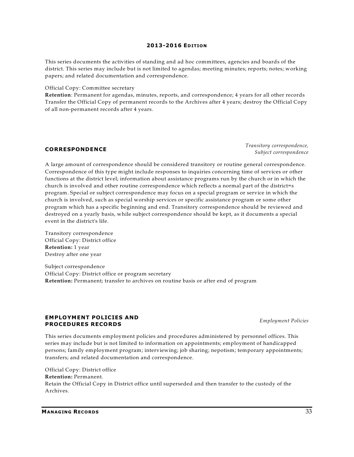This series documents the activities of standing and ad hoc committees, agencies and boards of the district. This series may include but is not limited to agendas; meeting minutes; reports; notes; working papers; and related documentation and correspondence.

#### Official Copy: Committee secretary

**Retention**: Permanent for agendas, minutes, reports, and correspondence; 4 years for all other records Transfer the Official Copy of permanent records to the Archives after 4 years; destroy the Official Copy of all non-permanent records after 4 years.

#### **CORRESPONDENCE**

*Transitory correspondence, Subject correspondence*

A large amount of correspondence should be considered transitory or routine general correspondence. Correspondence of this type might include responses to inquiries concerning time of services or other functions at the district level; information about assistance programs run by the church or in which the church is involved and other routine correspondence which reflects a normal part of the district=s program. Special or subject correspondence may focus on a special program or service in which the church is involved, such as special worship services or specific assistance program or some other program which has a specific beginning and end. Transitory correspondence should be reviewed and destroyed on a yearly basis, while subject correspondence should be kept, as it documents a special event in the district's life.

Transitory correspondence Official Copy: District office **Retention:** 1 year Destroy after one year

Subject correspondence Official Copy: District office or program secretary **Retention:** Permanent; transfer to archives on routine basis or after end of program

#### **EMPLOYMENT POLICIES AND PROCEDURES RECORDS**

*Employment Policies*

This series documents employment policies and procedures administered by personnel offices. This series may include but is not limited to information on appointments; employment of handicapped persons; family employment program; interviewing; job sharing; nepotism; temporary appointments; transfers; and related documentation and correspondence.

Official Copy: District office **Retention:** Permanent. Retain the Official Copy in District office until superseded and then transfer to the custody of the Archives.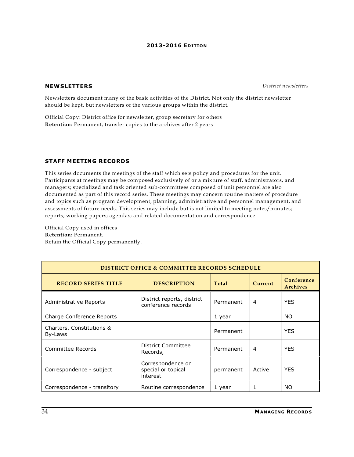**NEWSLETTERS** *District newsletters*

Newsletters document many of the basic activities of the District. Not only the district newsletter should be kept, but newsletters of the various groups within the district.

Official Copy: District office for newsletter, group secretary for others **Retention:** Permanent; transfer copies to the archives after 2 years

#### **STAFF MEETING RECORDS**

This series documents the meetings of the staff which sets policy and procedures for the unit. Participants at meetings may be composed exclusively of or a mixture of staff, administrators, and managers; specialized and task oriented sub-committees composed of unit personnel are also documented as part of this record series. These meetings may concern routine matters of procedure and topics such as program development, planning, administrative and personnel management, and assessments of future needs. This series may include but is not limited to meeting notes/minutes; reports; working papers; agendas; and related documentation and correspondence.

Official Copy used in offices **Retention:** Permanent. Retain the Official Copy permanently.

| <b>DISTRICT OFFICE &amp; COMMITTEE RECORDS SCHEDULE</b> |                                                     |           |                |                        |
|---------------------------------------------------------|-----------------------------------------------------|-----------|----------------|------------------------|
| <b>RECORD SERIES TITLE</b>                              | <b>DESCRIPTION</b>                                  | Total     | Current        | Conference<br>Archives |
| Administrative Reports                                  | District reports, district<br>conference records    | Permanent | 4              | <b>YES</b>             |
| Charge Conference Reports                               |                                                     | 1 year    |                | NO.                    |
| Charters, Constitutions &<br>By-Laws                    |                                                     | Permanent |                | <b>YES</b>             |
| Committee Records                                       | District Committee<br>Records,                      | Permanent | $\overline{4}$ | <b>YES</b>             |
| Correspondence - subject                                | Correspondence on<br>special or topical<br>interest | permanent | Active         | <b>YES</b>             |
| Correspondence - transitory                             | Routine correspondence                              | 1 year    |                | <b>NO</b>              |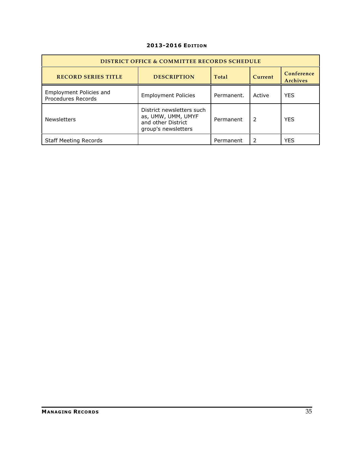| <b>DISTRICT OFFICE &amp; COMMITTEE RECORDS SCHEDULE</b> |                                                                                              |            |         |                        |
|---------------------------------------------------------|----------------------------------------------------------------------------------------------|------------|---------|------------------------|
| <b>RECORD SERIES TITLE</b>                              | <b>DESCRIPTION</b>                                                                           | Total      | Current | Conference<br>Archives |
| Employment Policies and<br>Procedures Records           | <b>Employment Policies</b>                                                                   | Permanent. | Active  | <b>YES</b>             |
| <b>Newsletters</b>                                      | District newsletters such<br>as, UMW, UMM, UMYF<br>and other District<br>group's newsletters | Permanent  | 2       | <b>YES</b>             |
| <b>Staff Meeting Records</b>                            |                                                                                              | Permanent  |         | <b>YES</b>             |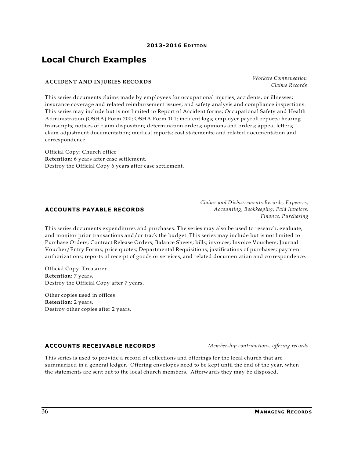# **Local Church Examples**

#### **ACCIDENT AND INJURIES RECORDS**

This series documents claims made by employees for occupational injuries, accidents, or illnesses; insurance coverage and related reimbursement issues; and safety analysis and compliance inspections. This series may include but is not limited to Report of Accident forms; Occupational Safety and Health Administration (OSHA) Form 200; OSHA Form 101; incident logs; employer payroll reports; hearing transcripts; notices of claim disposition; determination orders; opinions and orders; appeal letters; claim adjustment documentation; medical reports; cost statements; and related documentation and correspondence.

Official Copy: Church office **Retention:** 6 years after case settlement. Destroy the Official Copy 6 years after case settlement.

### **ACCOUNTS PAYABLE RECORDS**

This series documents expenditures and purchases. The series may also be used to research, evaluate, and monitor prior transactions and/or track the budget. This series may include but is not limited to Purchase Orders; Contract Release Orders; Balance Sheets; bills; invoices; Invoice Vouchers; Journal Voucher/Entry Forms; price quotes; Departmental Requisitions; justifications of purchases; payment authorizations; reports of receipt of goods or services; and related documentation and correspondence.

Official Copy: Treasurer **Retention:** 7 years. Destroy the Official Copy after 7 years.

Other copies used in offices **Retention:** 2 years. Destroy other copies after 2 years.

### **ACCOUNTS RECEIVABLE RECORDS** *Membership contributions, offering records*

This series is used to provide a record of collections and offerings for the local church that are summarized in a general ledger. Offering envelopes need to be kept until the end of the year, when the statements are sent out to the local church members. Afterwards they may be disposed.

*Claims and Disbursements Records, Expenses, Accounting, Bookkeeping, Paid Invoices, Finance, Purchasing*

*Workers Compensation Claims Records*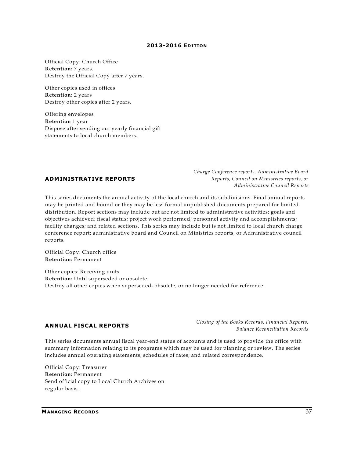Official Copy: Church Office **Retention:** 7 years. Destroy the Official Copy after 7 years.

Other copies used in offices **Retention:** 2 years Destroy other copies after 2 years.

Offering envelopes **Retention** 1 year Dispose after sending out yearly financial gift statements to local church members.

#### **ADMINISTRATIVE REPORTS**

*Charge Conference reports, Administrative Board Reports, Council on Ministries reports, or Administrative Council Reports*

This series documents the annual activity of the local church and its subdivisions. Final annual reports may be printed and bound or they may be less formal unpublished documents prepared for limited distribution. Report sections may include but are not limited to administrative activities; goals and objectives achieved; fiscal status; project work performed; personnel activity and accomplishments; facility changes; and related sections. This series may include but is not limited to local church charge conference report; administrative board and Council on Ministries reports, or Administrative council reports.

Official Copy: Church office **Retention:** Permanent

Other copies: Receiving units **Retention:** Until superseded or obsolete. Destroy all other copies when superseded, obsolete, or no longer needed for reference.

#### **ANNUAL FISCAL REPORTS**

*Closing of the Books Records, Financial Reports, Balance Reconciliation Records*

This series documents annual fiscal year-end status of accounts and is used to provide the office with summary information relating to its programs which may be used for planning or review. The series includes annual operating statements; schedules of rates; and related correspondence.

Official Copy: Treasurer **Retention:** Permanent Send official copy to Local Church Archives on regular basis.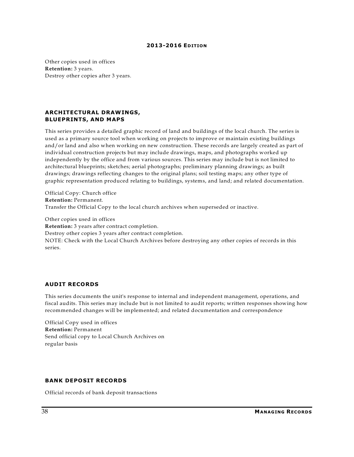Other copies used in offices **Retention:** 3 years. Destroy other copies after 3 years.

#### **ARCHITECTURAL DRAWINGS, BLUEPRINTS, AND MAPS**

This series provides a detailed graphic record of land and buildings of the local church. The series is used as a primary source tool when working on projects to improve or maintain existing buildings and/or land and also when working on new construction. These records are largely created as part of individual construction projects but may include drawings, maps, and photographs worked up independently by the office and from various sources. This series may include but is not limited to architectural blueprints; sketches; aerial photographs; preliminary planning drawings; as built drawings; drawings reflecting changes to the original plans; soil testing maps; any other type of graphic representation produced relating to buildings, systems, and land; and related documentation.

Official Copy: Church office **Retention:** Permanent. Transfer the Official Copy to the local church archives when superseded or inactive.

Other copies used in offices

**Retention:** 3 years after contract completion.

Destroy other copies 3 years after contract completion.

NOTE: Check with the Local Church Archives before destroying any other copies of records in this series.

#### **AUDIT RECORDS**

This series documents the unit's response to internal and independent management, operations, and fiscal audits. This series may include but is not limited to audit reports; written responses showing how recommended changes will be implemented; and related documentation and correspondence

Official Copy used in offices **Retention:** Permanent Send official copy to Local Church Archives on regular basis

#### **BANK DEPOSIT RECORDS**

Official records of bank deposit transactions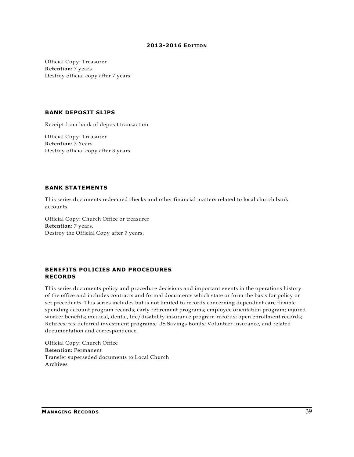Official Copy: Treasurer **Retention:** 7 years Destroy official copy after 7 years

#### **BANK DEPOSIT SLIPS**

Receipt from bank of deposit transaction

Official Copy: Treasurer **Retention:** 3 Years Destroy official copy after 3 years

#### **BANK STATEMENTS**

This series documents redeemed checks and other financial matters related to local church bank accounts.

Official Copy: Church Office or treasurer **Retention:** 7 years. Destroy the Official Copy after 7 years.

#### **BENEFITS POLICIES AND PROCEDURES RECORDS**

This series documents policy and procedure decisions and important events in the operations history of the office and includes contracts and formal documents which state or form the basis for policy or set precedents. This series includes but is not limited to records concerning dependent care flexible spending account program records; early retirement programs; employee orientation program; injured worker benefits; medical, dental, life/disability insurance program records; open enrollment records; Retirees; tax deferred investment programs; US Savings Bonds; Volunteer Insurance; and related documentation and correspondence.

Official Copy: Church Office **Retention:** Permanent Transfer superseded documents to Local Church Archives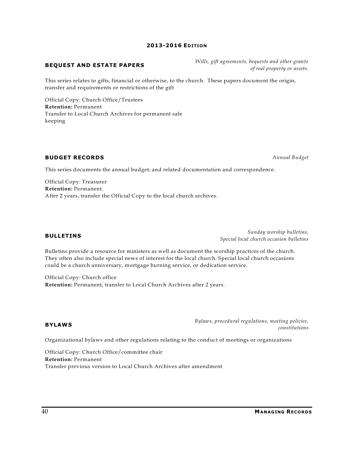#### *Wills, gift agreements, bequests and other grants of real property or assets.*

This series relates to gifts, financial or otherwise, to the church. These papers document the origin, transfer and requirements or restrictions of the gift

Official Copy: Church Office/Trustees **Retention:** Permanent Transfer to Local Church Archives for permanent safe keeping

**BEQUEST AND ESTATE PAPERS**

#### **BUDGET RECORDS** *Annual Budget*

This series documents the annual budget; and related documentation and correspondence.

Official Copy: Treasurer **Retention:** Permanent. After 2 years, transfer the Official Copy to the local church archives.

#### **BULLETINS**

*Sunday worship bulletins, Special local church occasion bulletins*

Bulletins provide a resource for ministers as well as document the worship practices of the church. They often also include special news of interest for the local church. Special local church occasions could be a church anniversary, mortgage burning service, or dedication service.

Official Copy: Church office **Retention:** Permanent, transfer to Local Church Archives after 2 years.

#### **BYLAWS**

*constitutions*

*Bylaws, procedural regulations, meeting policies,*

Organizational bylaws and other regulations relating to the conduct of meetings or organizations

Official Copy: Church Office/committee chair **Retention:** Permanent Transfer previous version to Local Church Archives after amendment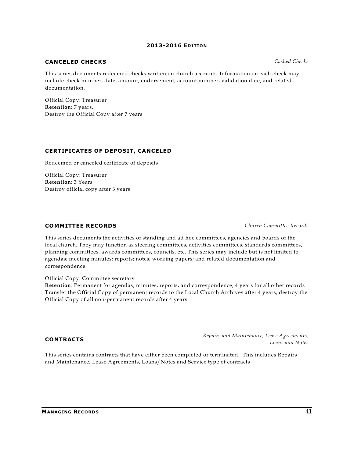### **CANCELED CHECKS** *Cashed Checks*

This series documents redeemed checks written on church accounts. Information on each check may include check number, date, amount, endorsement, account number, validation date, and related documentation.

Official Copy: Treasurer **Retention:** 7 years. Destroy the Official Copy after 7 years

#### **CERTIFICATES OF DEPOSIT, CANCELED**

Redeemed or canceled certificate of deposits

Official Copy: Treasurer **Retention:** 3 Years Destroy official copy after 3 years

#### **COMMITTEE RECORDS** *Church Committee Records*

This series documents the activities of standing and ad hoc committees, agencies and boards of the local church. They may function as steering committees, activities committees, standards committees, planning committees, awards committees, councils, etc. This series may include but is not limited to agendas; meeting minutes; reports; notes; working papers; and related documentation and correspondence.

Official Copy: Committee secretary

**Retention**: Permanent for agendas, minutes, reports, and correspondence; 4 years for all other records Transfer the Official Copy of permanent records to the Local Church Archives after 4 years; destroy the Official Copy of all non-permanent records after 4 years.

#### **CONTRACTS**

*Repairs and Maintenance, Lease Agreements, Loans and Notes*

This series contains contracts that have either been completed or terminated. This includes Repairs and Maintenance, Lease Agreements, Loans/Notes and Service type of contracts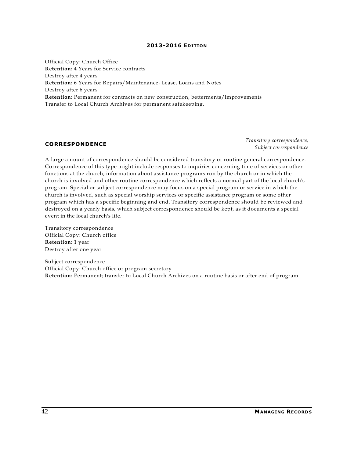Official Copy: Church Office **Retention:** 4 Years for Service contracts Destroy after 4 years **Retention:** 6 Years for Repairs/Maintenance, Lease, Loans and Notes Destroy after 6 years **Retention:** Permanent for contracts on new construction, betterments/improvements Transfer to Local Church Archives for permanent safekeeping.

#### **CORRESPONDENCE**

*Transitory correspondence, Subject correspondence*

A large amount of correspondence should be considered transitory or routine general correspondence. Correspondence of this type might include responses to inquiries concerning time of services or other functions at the church; information about assistance programs run by the church or in which the church is involved and other routine correspondence which reflects a normal part of the local church's program. Special or subject correspondence may focus on a special program or service in which the church is involved, such as special worship services or specific assistance program or some other program which has a specific beginning and end. Transitory correspondence should be reviewed and destroyed on a yearly basis, which subject correspondence should be kept, as it documents a special event in the local church's life.

Transitory correspondence Official Copy: Church office **Retention:** 1 year Destroy after one year

Subject correspondence Official Copy: Church office or program secretary **Retention:** Permanent; transfer to Local Church Archives on a routine basis or after end of program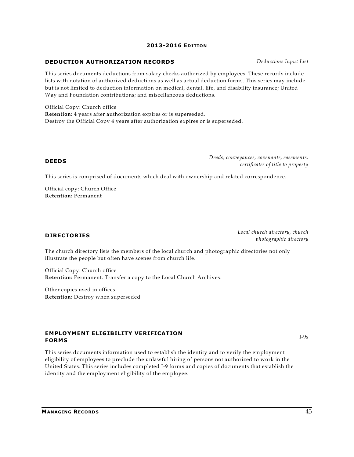#### **MANAGING RECORDS** 43

#### **2013-2016 EDITION**

#### **DEDUCTION AUTHORIZATION RECORDS** *Deductions Input List*

This series documents deductions from salary checks authorized by employees. These records include lists with notation of authorized deductions as well as actual deduction forms. This series may include but is not limited to deduction information on medical, dental, life, and disability insurance; United Way and Foundation contributions; and miscellaneous deductions.

Official Copy: Church office **Retention:** 4 years after authorization expires or is superseded. Destroy the Official Copy 4 years after authorization expires or is superseded.

#### **DEEDS**

*Deeds, conveyances, covenants, easements, certificates of title to property*

This series is comprised of documents which deal with ownership and related correspondence.

Official copy: Church Office **Retention:** Permanent

#### **DIRECTORIES**

*Local church directory, church photographic directory*

The church directory lists the members of the local church and photographic directories not only illustrate the people but often have scenes from church life.

Official Copy: Church office **Retention:** Permanent. Transfer a copy to the Local Church Archives.

Other copies used in offices **Retention:** Destroy when superseded

### **EMPLOYMENT ELIGIBILITY VERIFICATION FORMS**

This series documents information used to establish the identity and to verify the employment eligibility of employees to preclude the unlawful hiring of persons not authorized to work in the United States. This series includes completed I-9 forms and copies of documents that establish the identity and the employment eligibility of the employee.

I-9s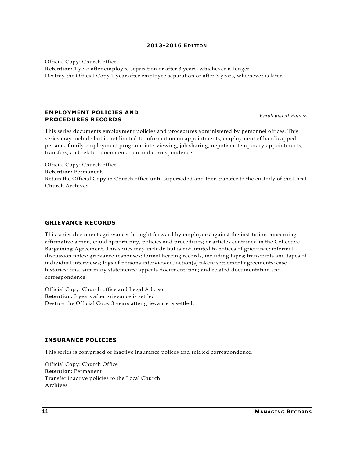Official Copy: Church office

**Retention:** 1 year after employee separation or after 3 years, whichever is longer. Destroy the Official Copy 1 year after employee separation or after 3 years, whichever is later.

#### **EMPLOYMENT POLICIES AND PROCEDURES RECORDS**

This series documents employment policies and procedures administered by personnel offices. This series may include but is not limited to information on appointments; employment of handicapped persons; family employment program; interviewing; job sharing; nepotism; temporary appointments; transfers; and related documentation and correspondence.

Official Copy: Church office **Retention:** Permanent. Retain the Official Copy in Church office until superseded and then transfer to the custody of the Local Church Archives.

#### **GRIEVANCE RECORDS**

This series documents grievances brought forward by employees against the institution concerning affirmative action; equal opportunity; policies and procedures; or articles contained in the Collective Bargaining Agreement. This series may include but is not limited to notices of grievance; informal discussion notes; grievance responses; formal hearing records, including tapes; transcripts and tapes of individual interviews; logs of persons interviewed; action(s) taken; settlement agreements; case histories; final summary statements; appeals documentation; and related documentation and correspondence.

Official Copy: Church office and Legal Advisor **Retention:** 3 years after grievance is settled. Destroy the Official Copy 3 years after grievance is settled.

#### **INSURANCE POLICIES**

This series is comprised of inactive insurance polices and related correspondence.

Official Copy: Church Office **Retention:** Permanent Transfer inactive policies to the Local Church Archives

*Employment Policies*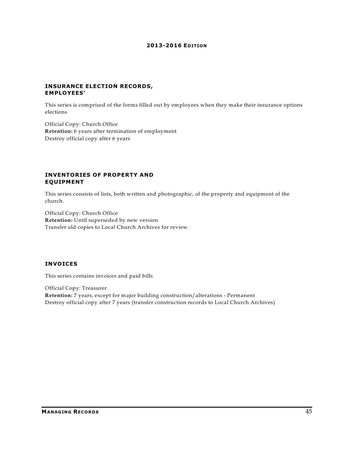#### **INSURANCE ELECTION RECORDS, EMPLOYEES'**

This series is comprised of the forms filled out by employees when they make their insurance options elections

Official Copy: Church Office **Retention:** 6 years after termination of employment Destroy official copy after 6 years

#### **INVENTORIES OF PROPERTY AND EQUIPMENT**

This series consists of lists, both written and photographic, of the property and equipment of the church.

Official Copy: Church Office **Retention:** Until superseded by new version Transfer old copies to Local Church Archives for review.

### **INVOICES**

This series contains invoices and paid bills

Official Copy: Treasurer **Retention:** 7 years, except for major building construction/alterations - Permanent Destroy official copy after 7 years (transfer construction records to Local Church Archives)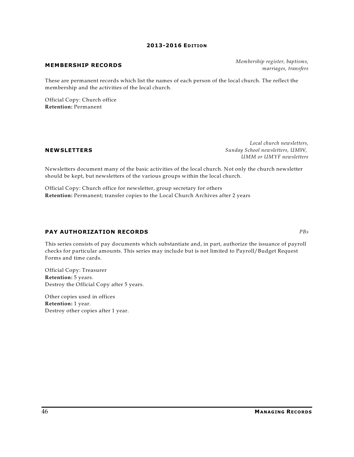#### **MEMBERSHIP RECORDS**

These are permanent records which list the names of each person of the local church. The reflect the membership and the activities of the local church.

Official Copy: Church office **Retention:** Permanent

#### **NEWSLETTERS**

*Local church newsletters, Sunday School newsletters, UMW, UMM or UMYF newsletters*

Newsletters document many of the basic activities of the local church. Not only the church newsletter should be kept, but newsletters of the various groups within the local church.

Official Copy: Church office for newsletter, group secretary for others **Retention:** Permanent; transfer copies to the Local Church Archives after 2 years

#### **PAY AUTHORIZATION RECORDS** *PBs*

This series consists of pay documents which substantiate and, in part, authorize the issuance of payroll checks for particular amounts. This series may include but is not limited to Payroll/Budget Request Forms and time cards.

Official Copy: Treasurer **Retention:** 5 years. Destroy the Official Copy after 5 years.

Other copies used in offices **Retention:** 1 year. Destroy other copies after 1 year. *Membership register, baptisms, marriages, transfers*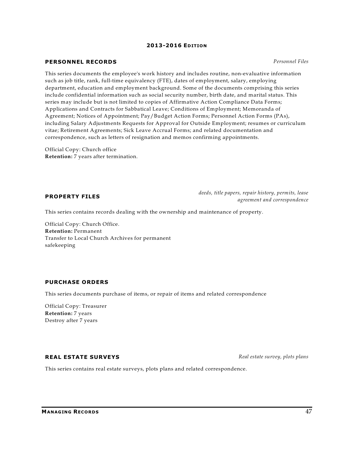#### **PERSONNEL RECORDS** *Personnel Files*

This series documents the employee's work history and includes routine, non-evaluative information such as job title, rank, full-time equivalency (FTE), dates of employment, salary, employing department, education and employment background. Some of the documents comprising this series include confidential information such as social security number, birth date, and marital status. This series may include but is not limited to copies of Affirmative Action Compliance Data Forms; Applications and Contracts for Sabbatical Leave; Conditions of Employment; Memoranda of Agreement; Notices of Appointment; Pay/Budget Action Forms; Personnel Action Forms (PAs), including Salary Adjustments Requests for Approval for Outside Employment; resumes or curriculum vitae; Retirement Agreements; Sick Leave Accrual Forms; and related documentation and correspondence, such as letters of resignation and memos confirming appointments.

Official Copy: Church office **Retention:** 7 years after termination.

#### **PROPERTY FILES**

*deeds, title papers, repair history, permits, lease agreement and correspondence*

This series contains records dealing with the ownership and maintenance of property.

Official Copy: Church Office. **Retention:** Permanent Transfer to Local Church Archives for permanent safekeeping

#### **PURCHASE ORDERS**

This series documents purchase of items, or repair of items and related correspondence

Official Copy: Treasurer **Retention:** 7 years Destroy after 7 years

#### **REAL ESTATE SURVEYS** *Real estate survey, plots plans*

This series contains real estate surveys, plots plans and related correspondence.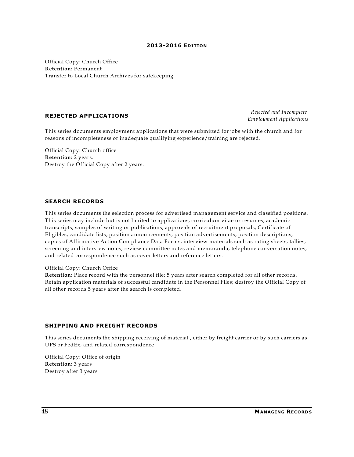Official Copy: Church Office **Retention:** Permanent Transfer to Local Church Archives for safekeeping

#### **REJECTED APPLICATIONS**

*Rejected and Incomplete Employment Applications*

This series documents employment applications that were submitted for jobs with the church and for reasons of incompleteness or inadequate qualifying experience/training are rejected.

Official Copy: Church office **Retention:** 2 years. Destroy the Official Copy after 2 years.

#### **SEARCH RECORDS**

This series documents the selection process for advertised management service and classified positions. This series may include but is not limited to applications; curriculum vitae or resumes; academic transcripts; samples of writing or publications; approvals of recruitment proposals; Certificate of Eligibles; candidate lists; position announcements; position advertisements; position descriptions; copies of Affirmative Action Compliance Data Forms; interview materials such as rating sheets, tallies, screening and interview notes, review committee notes and memoranda; telephone conversation notes; and related correspondence such as cover letters and reference letters.

#### Official Copy: Church Office

**Retention:** Place record with the personnel file; 5 years after search completed for all other records. Retain application materials of successful candidate in the Personnel Files; destroy the Official Copy of all other records 5 years after the search is completed.

#### **SHIPPING AND FREIGHT RECORDS**

This series documents the shipping receiving of material , either by freight carrier or by such carriers as UPS or FedEx, and related correspondence

Official Copy: Office of origin **Retention:** 3 years Destroy after 3 years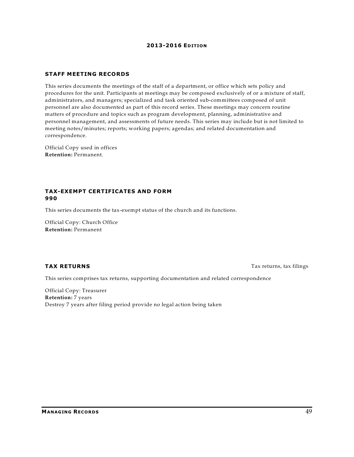#### **STAFF MEETING RECORDS**

This series documents the meetings of the staff of a department, or office which sets policy and procedures for the unit. Participants at meetings may be composed exclusively of or a mixture of staff, administrators, and managers; specialized and task oriented sub-committees composed of unit personnel are also documented as part of this record series. These meetings may concern routine matters of procedure and topics such as program development, planning, administrative and personnel management, and assessments of future needs. This series may include but is not limited to meeting notes/minutes; reports; working papers; agendas; and related documentation and correspondence.

Official Copy used in offices **Retention:** Permanent.

#### **TAX-EXEMPT CERTIFICATES AND FORM 990**

This series documents the tax-exempt status of the church and its functions.

Official Copy: Church Office **Retention:** Permanent

**TAX RETURNS** Tax returns, tax filings

This series comprises tax returns, supporting documentation and related correspondence

Official Copy: Treasurer **Retention:** 7 years Destroy 7 years after filing period provide no legal action being taken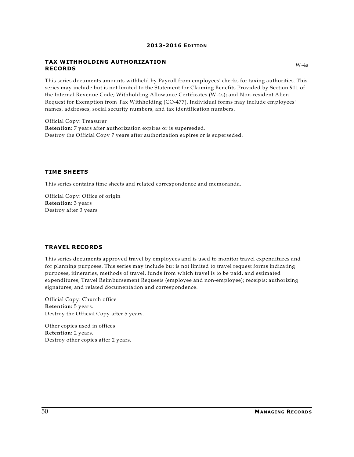#### **TAX WITHHOLDING AUTHORIZATION RECORDS**

This series documents amounts withheld by Payroll from employees' checks for taxing authorities. This series may include but is not limited to the Statement for Claiming Benefits Provided by Section 911 of the Internal Revenue Code; Withholding Allowance Certificates (W-4s); and Non-resident Alien Request for Exemption from Tax Withholding (CO-477). Individual forms may include employees' names, addresses, social security numbers, and tax identification numbers.

Official Copy: Treasurer **Retention:** 7 years after authorization expires or is superseded. Destroy the Official Copy 7 years after authorization expires or is superseded.

#### **TIME SHEETS**

This series contains time sheets and related correspondence and memoranda.

Official Copy: Office of origin **Retention:** 3 years Destroy after 3 years

#### **TRAVEL RECORDS**

This series documents approved travel by employees and is used to monitor travel expenditures and for planning purposes. This series may include but is not limited to travel request forms indicating purposes, itineraries, methods of travel, funds from which travel is to be paid, and estimated expenditures; Travel Reimbursement Requests (employee and non-employee); receipts; authorizing signatures; and related documentation and correspondence.

Official Copy: Church office **Retention:** 5 years. Destroy the Official Copy after 5 years.

Other copies used in offices **Retention:** 2 years. Destroy other copies after 2 years.  $W-4s$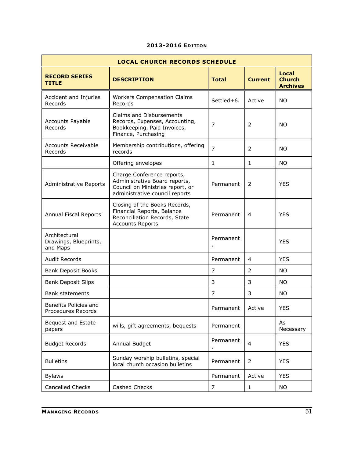| <b>LOCAL CHURCH RECORDS SCHEDULE</b>               |                                                                                                                                   |                |                |                                                  |
|----------------------------------------------------|-----------------------------------------------------------------------------------------------------------------------------------|----------------|----------------|--------------------------------------------------|
| <b>RECORD SERIES</b><br><b>TITLE</b>               | <b>DESCRIPTION</b>                                                                                                                | <b>Total</b>   | <b>Current</b> | <b>Local</b><br><b>Church</b><br><b>Archives</b> |
| Accident and Injuries<br>Records                   | <b>Workers Compensation Claims</b><br>Records                                                                                     | Settled+6.     | Active         | <b>NO</b>                                        |
| <b>Accounts Payable</b><br>Records                 | <b>Claims and Disbursements</b><br>Records, Expenses, Accounting,<br>Bookkeeping, Paid Invoices,<br>Finance, Purchasing           | 7              | 2              | <b>NO</b>                                        |
| <b>Accounts Receivable</b><br>Records              | Membership contributions, offering<br>records                                                                                     | $\overline{7}$ | 2              | <b>NO</b>                                        |
|                                                    | Offering envelopes                                                                                                                | $\mathbf{1}$   | 1              | <b>NO</b>                                        |
| <b>Administrative Reports</b>                      | Charge Conference reports,<br>Administrative Board reports,<br>Council on Ministries report, or<br>administrative council reports | Permanent      | 2              | <b>YES</b>                                       |
| Annual Fiscal Reports                              | Closing of the Books Records,<br>Financial Reports, Balance<br>Reconciliation Records, State<br><b>Accounts Reports</b>           | Permanent      | 4              | <b>YES</b>                                       |
| Architectural<br>Drawings, Blueprints,<br>and Maps |                                                                                                                                   | Permanent      |                | <b>YES</b>                                       |
| <b>Audit Records</b>                               |                                                                                                                                   | Permanent      | 4              | <b>YES</b>                                       |
| <b>Bank Deposit Books</b>                          |                                                                                                                                   | 7              | 2              | NO.                                              |
| <b>Bank Deposit Slips</b>                          |                                                                                                                                   | 3              | 3              | <b>NO</b>                                        |
| <b>Bank statements</b>                             |                                                                                                                                   | 7              | 3              | <b>NO</b>                                        |
| Benefits Policies and<br>Procedures Records        |                                                                                                                                   | Permanent      | Active         | <b>YES</b>                                       |
| Bequest and Estate<br>papers                       | wills, gift agreements, bequests                                                                                                  | Permanent      |                | As<br>Necessary                                  |
| <b>Budget Records</b>                              | Annual Budget                                                                                                                     | Permanent      | $\overline{4}$ | <b>YES</b>                                       |
| <b>Bulletins</b>                                   | Sunday worship bulletins, special<br>local church occasion bulletins                                                              | Permanent      | 2              | <b>YES</b>                                       |
| <b>Bylaws</b>                                      |                                                                                                                                   | Permanent      | Active         | <b>YES</b>                                       |
| Cancelled Checks                                   | Cashed Checks                                                                                                                     | 7              | 1              | NO.                                              |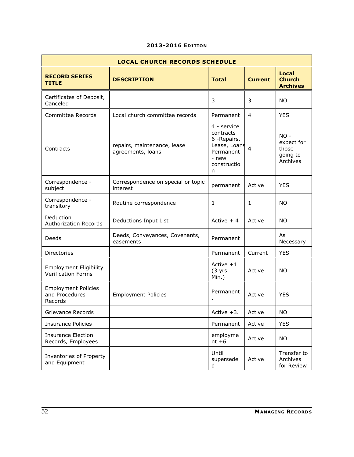| <b>LOCAL CHURCH RECORDS SCHEDULE</b>                       |                                                  |                                                                                                    |                |                                                       |
|------------------------------------------------------------|--------------------------------------------------|----------------------------------------------------------------------------------------------------|----------------|-------------------------------------------------------|
| <b>RECORD SERIES</b><br><b>TITLE</b>                       | <b>DESCRIPTION</b>                               | <b>Total</b>                                                                                       | <b>Current</b> | <b>Local</b><br><b>Church</b><br><b>Archives</b>      |
| Certificates of Deposit,<br>Canceled                       |                                                  | 3                                                                                                  | 3              | <b>NO</b>                                             |
| Committee Records                                          | Local church committee records                   | Permanent                                                                                          | 4              | <b>YES</b>                                            |
| Contracts                                                  | repairs, maintenance, lease<br>agreements, loans | 4 - service<br>contracts<br>6 - Repairs,<br>Lease, Loans<br>Permanent<br>- new<br>constructio<br>n | $\overline{4}$ | $NO -$<br>expect for<br>those<br>going to<br>Archives |
| Correspondence -<br>subject                                | Correspondence on special or topic<br>interest   | permanent                                                                                          | Active         | <b>YES</b>                                            |
| Correspondence -<br>transitory                             | Routine correspondence                           | 1                                                                                                  | $\mathbf{1}$   | <b>NO</b>                                             |
| Deduction<br><b>Authorization Records</b>                  | Deductions Input List                            | Active $+4$                                                                                        | Active         | <b>NO</b>                                             |
| Deeds                                                      | Deeds, Conveyances, Covenants,<br>easements      | Permanent                                                                                          |                | As<br>Necessary                                       |
| Directories                                                |                                                  | Permanent                                                                                          | Current        | <b>YES</b>                                            |
| <b>Employment Eligibility</b><br><b>Verification Forms</b> |                                                  | Active $+1$<br>(3 yrs)<br>Min.)                                                                    | Active         | <b>NO</b>                                             |
| <b>Employment Policies</b><br>and Procedures<br>Records    | <b>Employment Policies</b>                       | Permanent                                                                                          | Active         | <b>YES</b>                                            |
| Grievance Records                                          |                                                  | Active +3.                                                                                         | Active         | <b>NO</b>                                             |
| <b>Insurance Policies</b>                                  |                                                  | Permanent                                                                                          | Active         | <b>YES</b>                                            |
| <b>Insurance Election</b><br>Records, Employees            |                                                  | employme<br>$nt + 6$                                                                               | Active         | <b>NO</b>                                             |
| Inventories of Property<br>and Equipment                   |                                                  | Until<br>supersede<br>d                                                                            | Active         | Transfer to<br>Archives<br>for Review                 |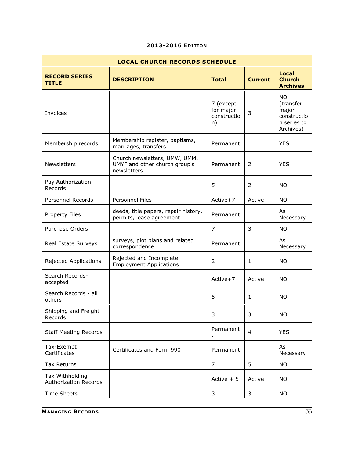| <b>LOCAL CHURCH RECORDS SCHEDULE</b>            |                                                                               |                                             |                |                                                                            |  |
|-------------------------------------------------|-------------------------------------------------------------------------------|---------------------------------------------|----------------|----------------------------------------------------------------------------|--|
| <b>RECORD SERIES</b><br><b>TITLE</b>            | <b>DESCRIPTION</b>                                                            | <b>Total</b>                                | <b>Current</b> | <b>Local</b><br><b>Church</b><br><b>Archives</b>                           |  |
| Invoices                                        |                                                                               | 7 (except<br>for major<br>constructio<br>n) | 3              | <b>NO</b><br>(transfer<br>major<br>constructio<br>n series to<br>Archives) |  |
| Membership records                              | Membership register, baptisms,<br>marriages, transfers                        | Permanent                                   |                | <b>YES</b>                                                                 |  |
| Newsletters                                     | Church newsletters, UMW, UMM,<br>UMYF and other church group's<br>newsletters | Permanent                                   | 2              | <b>YES</b>                                                                 |  |
| Pay Authorization<br>Records                    |                                                                               | 5                                           | $\overline{2}$ | <b>NO</b>                                                                  |  |
| Personnel Records                               | <b>Personnel Files</b>                                                        | Active+7                                    | Active         | <b>NO</b>                                                                  |  |
| Property Files                                  | deeds, title papers, repair history,<br>permits, lease agreement              | Permanent                                   |                | As<br>Necessary                                                            |  |
| Purchase Orders                                 |                                                                               | $\overline{7}$                              | 3              | <b>NO</b>                                                                  |  |
| Real Estate Surveys                             | surveys, plot plans and related<br>correspondence                             | Permanent                                   |                | As<br>Necessary                                                            |  |
| Rejected Applications                           | Rejected and Incomplete<br><b>Employment Applications</b>                     | $\overline{2}$                              | $\mathbf{1}$   | <b>NO</b>                                                                  |  |
| Search Records-<br>accepted                     |                                                                               | Active+7                                    | Active         | <b>NO</b>                                                                  |  |
| Search Records - all<br>others                  |                                                                               | 5                                           | 1              | NO.                                                                        |  |
| Shipping and Freight<br>Records                 |                                                                               | 3                                           | 3.             | NO.                                                                        |  |
| <b>Staff Meeting Records</b>                    |                                                                               | Permanent                                   | $\overline{4}$ | <b>YES</b>                                                                 |  |
| Tax-Exempt<br>Certificates                      | Certificates and Form 990                                                     | Permanent                                   |                | As<br>Necessary                                                            |  |
| <b>Tax Returns</b>                              |                                                                               | $\overline{7}$                              | 5              | <b>NO</b>                                                                  |  |
| Tax Withholding<br><b>Authorization Records</b> |                                                                               | Active $+5$                                 | Active         | NO.                                                                        |  |
| <b>Time Sheets</b>                              |                                                                               | 3                                           | 3              | NO.                                                                        |  |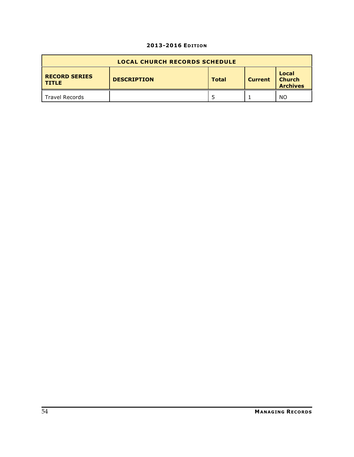| <b>LOCAL CHURCH RECORDS SCHEDULE</b> |                    |              |                |                                           |
|--------------------------------------|--------------------|--------------|----------------|-------------------------------------------|
| <b>RECORD SERIES</b><br><b>TITLE</b> | <b>DESCRIPTION</b> | <b>Total</b> | <b>Current</b> | Local<br><b>Church</b><br><b>Archives</b> |
| <b>Travel Records</b>                |                    |              |                | NO                                        |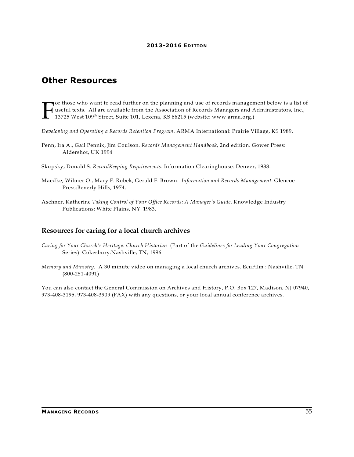# **Other Resources**

F or those who want to read further on the planning and use of records management below is a list of useful texts. All are available from the Association of Records Managers and Administrators, Inc., 13725 West 109<sup>th</sup> Street, Suite 101, Lexena, KS 66215 (website: www.arma.org.)

*Developing and Operating a Records Retention Program*. ARMA International: Prairie Village, KS 1989.

- Penn, Ira A., Gail Pennix, Jim Coulson. *Records Management Handbook*, 2nd edition. Gower Press: Aldershot, UK 1994
- Skupsky, Donald S. *RecordKeeping Requirements*. Information Clearinghouse: Denver, 1988.
- Maedke, Wilmer O., Mary F. Robek, Gerald F. Brown. *Information and Records Management*. Glencoe Press:Beverly Hills, 1974.
- Aschner, Katherine *Taking Control of Your Office Records: A Manager's Guide*. Knowledge Industry Publications: White Plains, NY. 1983.

### **Resources for caring for a local church archives**

- *Caring for Your Church's Heritage: Church Historian* (Part of the *Guidelines for Leading Your Congregation* Series) Cokesbury:Nashville, TN, 1996.
- *Memory and Ministry.* A 30 minute video on managing a local church archives. EcuFilm : Nashville, TN (800-251-4091)

You can also contact the General Commission on Archives and History, P.O. Box 127, Madison, NJ 07940, 973-408-3195, 973-408-3909 (FAX) with any questions, or your local annual conference archives.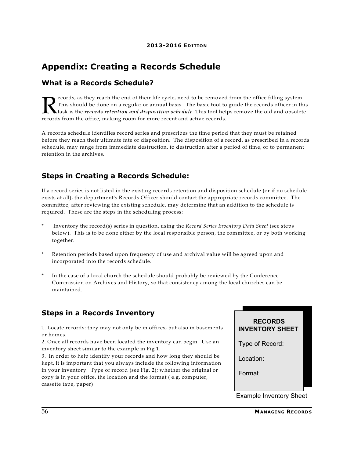# **Appendix: Creating a Records Schedule**

## **What is a Records Schedule?**

**R** ecords, as they reach the end of their life cycle, need to be removed.<br>This should be done on a regular or annual basis. The basic tool to<br>records from the office, making room for more recent and active records. ecords, as they reach the end of their life cycle, need to be removed from the office filling system. This should be done on a regular or annual basis. The basic tool to guide the records officer in this task is the *records retention and disposition schedule*. This tool helps remove the old and obsolete

A records schedule identifies record series and prescribes the time period that they must be retained before they reach their ultimate fate or disposition. The disposition of a record, as prescribed in a records schedule, may range from immediate destruction, to destruction after a period of time, or to permanent retention in the archives.

# **Steps in Creating a Records Schedule:**

If a record series is not listed in the existing records retention and disposition schedule (or if no schedule exists at all), the department's Records Officer should contact the appropriate records committee. The committee, after reviewing the existing schedule, may determine that an addition to the schedule is required. These are the steps in the scheduling process:

- \* Inventory the record(s) series in question, using the *Record Series Inventory Data Sheet* (see steps below). This is to be done either by the local responsible person, the committee, or by both working together.
- Retention periods based upon frequency of use and archival value will be agreed upon and incorporated into the records schedule.
- In the case of a local church the schedule should probably be reviewed by the Conference Commission on Archives and History, so that consistency among the local churches can be maintained.

# **Steps in a Records Inventory**

1. Locate records: they may not only be in offices, but also in basements or homes.

2. Once all records have been located the inventory can begin. Use an inventory sheet similar to the example in Fig 1.

3. In order to help identify your records and how long they should be kept, it is important that you always include the following information in your inventory: Type of record (see Fig. 2); whether the original or copy is in your office, the location and the format ( e.g. computer, cassette tape, paper)

**RECORDS INVENTORY SHEET**

Type of Record:

Location:

Format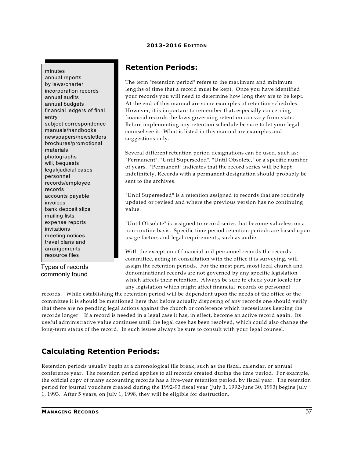minutes

annual reports by laws/charter incorporation records annual audits annual budgets financial ledgers of final entry subject correspondence manuals/handbooks newspapers/newsletters brochures/promotional materials photographs will, bequests legal/judicial cases personnel records/employee records accounts payable invoices bank deposit slips mailing lists expense reports invitations meeting notices travel plans and arrangements resource files

Types of records commonly found

## **Retention Periods:**

The term "retention period" refers to the maximum and minimum lengths of time that a record must be kept. Once you have identified your records you will need to determine how long they are to be kept. At the end of this manual are some examples of retention schedules. However, it is important to remember that, especially concerning financial records the laws governing retention can vary from state. Before implementing any retention schedule be sure to let your legal counsel see it. What is listed in this manual are examples and suggestions only.

Several different retention period designations can be used, such as: "Permanent", "Until Superseded", "Until Obsolete," or a specific number of years. "Permanent" indicates that the record series will be kept indefinitely. Records with a permanent designation should probably be sent to the archives.

"Until Superseded" is a retention assigned to records that are routinely updated or revised and where the previous version has no continuing value.

"Until Obsolete" is assigned to record series that become valueless on a non-routine basis. Specific time period retention periods are based upon usage factors and legal requirements, such as audits.

With the exception of financial and personnel records the records committee, acting in consultation with the office it is surveying, will assign the retention periods. For the most part, most local church and denominational records are not governed by any specific legislation which affects their retention. Always be sure to check your locale for any legislation which might affect financial records or personnel

records. While establishing the retention period will be dependent upon the needs of the office or the committee it is should be mentioned here that before actually disposing of any records one should verify that there are no pending legal actions against the church or conference which necessitates keeping the records longer. If a record is needed in a legal case it has, in effect, become an active record again. Its useful administrative value continues until the legal case has been resolved, which could also change the long-term status of the record. In such issues always be sure to consult with your legal counsel.

## **Calculating Retention Periods:**

Retention periods usually begin at a chronological file break, such as the fiscal, calendar, or annual conference year. The retention period applies to all records created during the time period. For example, the official copy of many accounting records has a five-year retention period, by fiscal year. The retention period for journal vouchers created during the 1992-93 fiscal year (July 1, 1992-June 30, 1993) begins July 1, 1993. After 5 years, on July 1, 1998, they will be eligible for destruction.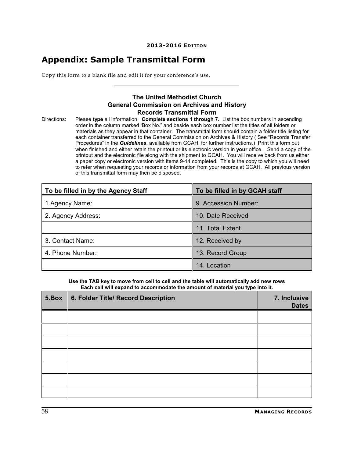# **Appendix: Sample Transmittal Form**

Copy this form to a blank file and edit it for your conference's use.

### **The United Methodist Church General Commission on Archives and History Records Transmittal Form**

Directions: Please **type** all information. **Complete sections 1 through 7.** List the box numbers in ascending order in the column marked 'Box No." and beside each box number list the titles of all folders or materials as they appear in that container. The transmittal form should contain a folder title listing for each container transferred to the General Commission on Archives & History ( See "Records Transfer Procedures" in the *Guidelines*, available from GCAH, for further instructions.) Print this form out when finished and either retain the printout or its electronic version in **your** office. Send a copy of the printout and the electronic file along with the shipment to GCAH. You will receive back from us either a paper copy or electronic version with items 9-14 completed. This is the copy to which you will need to refer when requesting your records or information from your records at GCAH. All previous version of this transmittal form may then be disposed.

| To be filled in by the Agency Staff | To be filled in by GCAH staff |  |
|-------------------------------------|-------------------------------|--|
| 1.Agency Name:                      | 9. Accession Number:          |  |
| 2. Agency Address:                  | 10. Date Received             |  |
|                                     | 11. Total Extent              |  |
| 3. Contact Name:                    | 12. Received by               |  |
| 4. Phone Number:                    | 13. Record Group              |  |
|                                     | 14. Location                  |  |

**Use the TAB key to move from cell to cell and the table will automatically add new rows Each cell will expand to accommodate the amount of material you type into it.**

| 5.Box | 6. Folder Title/ Record Description | 7. Inclusive<br><b>Dates</b> |
|-------|-------------------------------------|------------------------------|
|       |                                     |                              |
|       |                                     |                              |
|       |                                     |                              |
|       |                                     |                              |
|       |                                     |                              |
|       |                                     |                              |
|       |                                     |                              |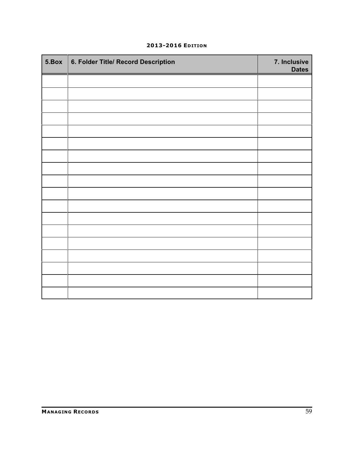| 5.Box | 6. Folder Title/ Record Description | 7. Inclusive<br><b>Dates</b> |
|-------|-------------------------------------|------------------------------|
|       |                                     |                              |
|       |                                     |                              |
|       |                                     |                              |
|       |                                     |                              |
|       |                                     |                              |
|       |                                     |                              |
|       |                                     |                              |
|       |                                     |                              |
|       |                                     |                              |
|       |                                     |                              |
|       |                                     |                              |
|       |                                     |                              |
|       |                                     |                              |
|       |                                     |                              |
|       |                                     |                              |
|       |                                     |                              |
|       |                                     |                              |
|       |                                     |                              |